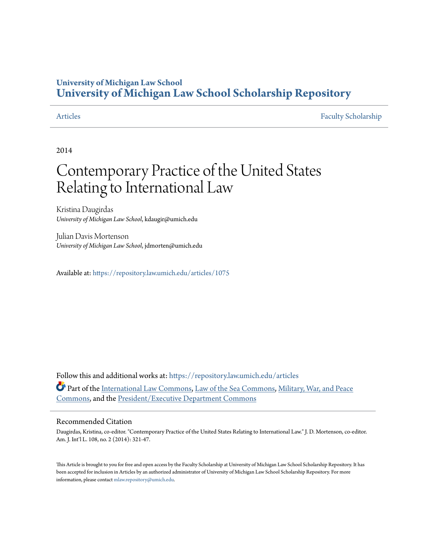# **University of Michigan Law School [University of Michigan Law School Scholarship Repository](https://repository.law.umich.edu?utm_source=repository.law.umich.edu%2Farticles%2F1075&utm_medium=PDF&utm_campaign=PDFCoverPages)**

[Articles](https://repository.law.umich.edu/articles?utm_source=repository.law.umich.edu%2Farticles%2F1075&utm_medium=PDF&utm_campaign=PDFCoverPages) [Faculty Scholarship](https://repository.law.umich.edu/faculty_scholarship?utm_source=repository.law.umich.edu%2Farticles%2F1075&utm_medium=PDF&utm_campaign=PDFCoverPages)

2014

# Contemporary Practice of the United States Relating to International Law

Kristina Daugirdas *University of Michigan Law School*, kdaugir@umich.edu

Julian Davis Mortenson *University of Michigan Law School*, jdmorten@umich.edu

Available at: <https://repository.law.umich.edu/articles/1075>

Follow this and additional works at: [https://repository.law.umich.edu/articles](https://repository.law.umich.edu/articles?utm_source=repository.law.umich.edu%2Farticles%2F1075&utm_medium=PDF&utm_campaign=PDFCoverPages) Part of the [International Law Commons,](http://network.bepress.com/hgg/discipline/609?utm_source=repository.law.umich.edu%2Farticles%2F1075&utm_medium=PDF&utm_campaign=PDFCoverPages) [Law of the Sea Commons](http://network.bepress.com/hgg/discipline/855?utm_source=repository.law.umich.edu%2Farticles%2F1075&utm_medium=PDF&utm_campaign=PDFCoverPages), [Military, War, and Peace](http://network.bepress.com/hgg/discipline/861?utm_source=repository.law.umich.edu%2Farticles%2F1075&utm_medium=PDF&utm_campaign=PDFCoverPages) [Commons,](http://network.bepress.com/hgg/discipline/861?utm_source=repository.law.umich.edu%2Farticles%2F1075&utm_medium=PDF&utm_campaign=PDFCoverPages) and the [President/Executive Department Commons](http://network.bepress.com/hgg/discipline/1118?utm_source=repository.law.umich.edu%2Farticles%2F1075&utm_medium=PDF&utm_campaign=PDFCoverPages)

#### Recommended Citation

Daugirdas, Kristina, co-editor. "Contemporary Practice of the United States Relating to International Law." J. D. Mortenson, co-editor. Am. J. Int'l L. 108, no. 2 (2014): 321-47.

This Article is brought to you for free and open access by the Faculty Scholarship at University of Michigan Law School Scholarship Repository. It has been accepted for inclusion in Articles by an authorized administrator of University of Michigan Law School Scholarship Repository. For more information, please contact [mlaw.repository@umich.edu.](mailto:mlaw.repository@umich.edu)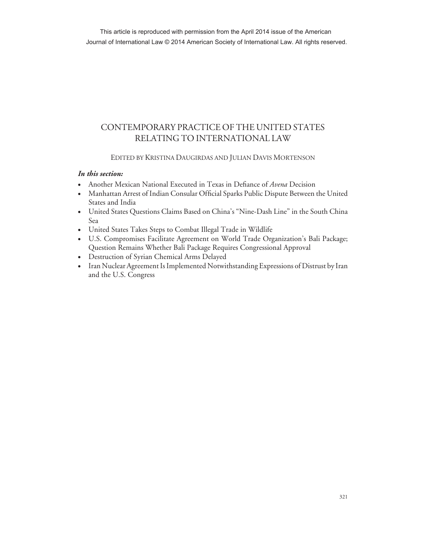## CONTEMPORARY PRACTICE OF THE UNITED STATES RELATING TO INTERNATIONAL LAW

### EDITED BY KRISTINA DAUGIRDAS AND JULIAN DAVIS MORTENSON

### *In this section:*

- Another Mexican National Executed in Texas in Defiance of *Avena* Decision
- Manhattan Arrest of Indian Consular Official Sparks Public Dispute Between the United States and India
- United States Questions Claims Based on China's "Nine-Dash Line" in the South China Sea
- United States Takes Steps to Combat Illegal Trade in Wildlife
- U.S. Compromises Facilitate Agreement on World Trade Organization's Bali Package; Question Remains Whether Bali Package Requires Congressional Approval
- Destruction of Syrian Chemical Arms Delayed
- Iran Nuclear Agreement Is Implemented Notwithstanding Expressions of Distrust by Iran and the U.S. Congress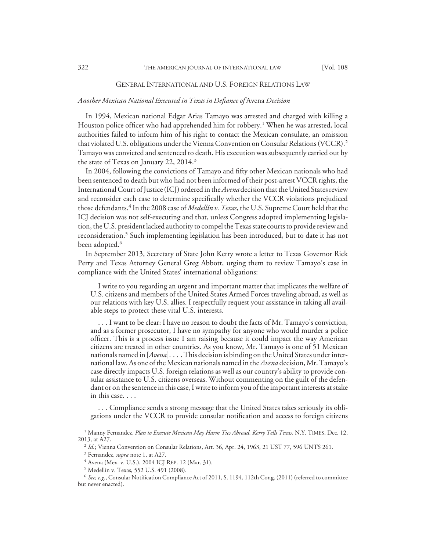#### GENERAL INTERNATIONAL AND U.S. FOREIGN RELATIONS LAW

#### *Another Mexican National Executed in Texas in Defiance of* Avena *Decision*

In 1994, Mexican national Edgar Arias Tamayo was arrested and charged with killing a Houston police officer who had apprehended him for robbery.<sup>1</sup> When he was arrested, local authorities failed to inform him of his right to contact the Mexican consulate, an omission that violated U.S. obligations under the Vienna Convention on Consular Relations (VCCR).2 Tamayo was convicted and sentenced to death. His execution was subsequently carried out by the state of Texas on January 22, 2014.<sup>3</sup>

In 2004, following the convictions of Tamayo and fifty other Mexican nationals who had been sentenced to death but who had not been informed of their post-arrest VCCR rights, the InternationalCourt of Justice (ICJ) ordered in the*Avena* decision that the United States review and reconsider each case to determine specifically whether the VCCR violations prejudiced those defendants.<sup>4</sup> In the 2008 case of *Medellı´n v. Texas*, the U.S. Supreme Court held that the ICJ decision was not self-executing and that, unless Congress adopted implementing legislation, the U.S. president lacked authority to compel the Texas state courts to provide review and reconsideration.<sup>5</sup> Such implementing legislation has been introduced, but to date it has not been adopted.<sup>6</sup>

In September 2013, Secretary of State John Kerry wrote a letter to Texas Governor Rick Perry and Texas Attorney General Greg Abbott, urging them to review Tamayo's case in compliance with the United States' international obligations:

I write to you regarding an urgent and important matter that implicates the welfare of U.S. citizens and members of the United States Armed Forces traveling abroad, as well as our relations with key U.S. allies. I respectfully request your assistance in taking all available steps to protect these vital U.S. interests.

. . . I want to be clear: I have no reason to doubt the facts of Mr. Tamayo's conviction, and as a former prosecutor, I have no sympathy for anyone who would murder a police officer. This is a process issue I am raising because it could impact the way American citizens are treated in other countries. As you know, Mr. Tamayo is one of 51 Mexican nationals named in [*Avena*]. . . .This decision is binding on the United States under international law. As one of the Mexican nationals named in the *Avena* decision, Mr. Tamayo's case directly impacts U.S. foreign relations as well as our country's ability to provide consular assistance to U.S. citizens overseas. Without commenting on the guilt of the defendant or on the sentence in this case, I write to inform you of the important interests at stake in this case...

. . . Compliance sends a strong message that the United States takes seriously its obligations under the VCCR to provide consular notification and access to foreign citizens

<sup>1</sup> Manny Fernandez, *Plan to Execute Mexican May Harm Ties Abroad, Kerry Tells Texas*, N.Y. TIMES, Dec. 12, 2013, at A27.

<sup>2</sup> *Id.*; Vienna Convention on Consular Relations, Art. 36, Apr. 24, 1963, 21 UST 77, 596 UNTS 261.

<sup>5</sup> Medellín v. Texas, 552 U.S. 491 (2008).

<sup>6</sup> *See, e.g.*, Consular Notification Compliance Act of 2011, S. 1194, 112th Cong. (2011) (referred to committee but never enacted).

<sup>3</sup> Fernandez, *supra* note 1, at A27.

<sup>4</sup> Avena (Mex. v. U.S.), 2004 ICJ REP. 12 (Mar. 31).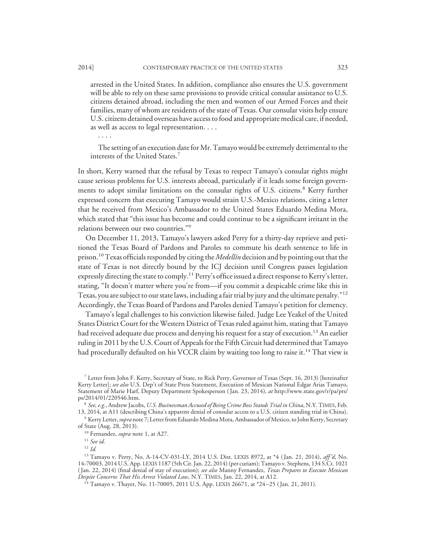arrested in the United States. In addition, compliance also ensures the U.S. government will be able to rely on these same provisions to provide critical consular assistance to U.S. citizens detained abroad, including the men and women of our Armed Forces and their families, many of whom are residents of the state of Texas. Our consular visits help ensure U.S. citizens detained overseas have access to food and appropriate medical care, if needed, as well as access to legal representation....

The setting of an execution date for Mr. Tamayo would be extremely detrimental to the interests of the United States.<sup>7</sup>

In short, Kerry warned that the refusal by Texas to respect Tamayo's consular rights might cause serious problems for U.S. interests abroad, particularly if it leads some foreign governments to adopt similar limitations on the consular rights of U.S. citizens.<sup>8</sup> Kerry further expressed concern that executing Tamayo would strain U.S.-Mexico relations, citing a letter that he received from Mexico's Ambassador to the United States Eduardo Medina Mora, which stated that "this issue has become and could continue to be a significant irritant in the relations between our two countries."<sup>9</sup>

On December 11, 2013, Tamayo's lawyers asked Perry for a thirty-day reprieve and petitioned the Texas Board of Pardons and Paroles to commute his death sentence to life in prison.10Texas officials responded by citing the *Medellı´n* decision and by pointing out that the state of Texas is not directly bound by the ICJ decision until Congress passes legislation expressly directing the state to comply.<sup>11</sup> Perry's office issued a direct response to Kerry's letter, stating, "It doesn't matter where you're from—if you commit a despicable crime like this in Texas, you are subject to our state laws, including a fair trial by jury and the ultimate penalty."<sup>12</sup> Accordingly, the Texas Board of Pardons and Paroles denied Tamayo's petition for clemency.

Tamayo's legal challenges to his conviction likewise failed. Judge Lee Yeakel of the United States District Court for the Western District of Texas ruled against him, stating that Tamayo had received adequate due process and denying his request for a stay of execution.<sup>13</sup> An earlier ruling in 2011 by the U.S. Court of Appeals for the Fifth Circuit had determined that Tamayo had procedurally defaulted on his VCCR claim by waiting too long to raise it.<sup>14</sup> That view is

<sup>9</sup> Kerry Letter, *supra* note 7; Letter from Eduardo Medina Mora, Ambassador of Mexico, to John Kerry, Secretary of State (Aug. 28, 2013).

<sup>14</sup> Tamayo v. Thayer, No. 11-70005, 2011 U.S. App. LEXIS 26671, at \*24-25 (Jan. 21, 2011).

....

<sup>7</sup> Letter from John F. Kerry, Secretary of State, to Rick Perry, Governor of Texas (Sept. 16, 2013) [hereinafter Kerry Letter]; *see also* U.S. Dep't of State Press Statement, Execution of Mexican National Edgar Arias Tamayo, Statement of Marie Harf, Deputy Department Spokesperson ( Jan. 23, 2014), *at* http://www.state.gov/r/pa/prs/ ps/2014/01/220546.htm.

<sup>8</sup> *See, e.g.*, Andrew Jacobs, *U.S. Businessman Accused of Being Crime Boss Stands Trial in China*, N.Y. TIMES, Feb. 13, 2014, at A11 (describing China's apparent denial of consular access to a U.S. citizen standing trial in China).

<sup>10</sup> Fernandez, *supra* note 1, at A27.

<sup>11</sup> *See id.*

<sup>12</sup> *Id.*

<sup>13</sup> Tamayo v. Perry, No. A-14-CV-031-LY, 2014 U.S. Dist. LEXIS 8972, at \*4 ( Jan. 21, 2014), *aff 'd*, No. 14-70003, 2014 U.S. App. LEXIS 1187 (5th Cir. Jan. 22, 2014) (per curiam); Tamayo v. Stephens, 134 S.Ct. 1021 ( Jan. 22, 2014) (final denial of stay of execution); *see also* Manny Fernandez, *Texas Prepares to Execute Mexican Despite Concerns That His Arrest Violated Law*, N.Y. TIMES, Jan. 22, 2014, at A12.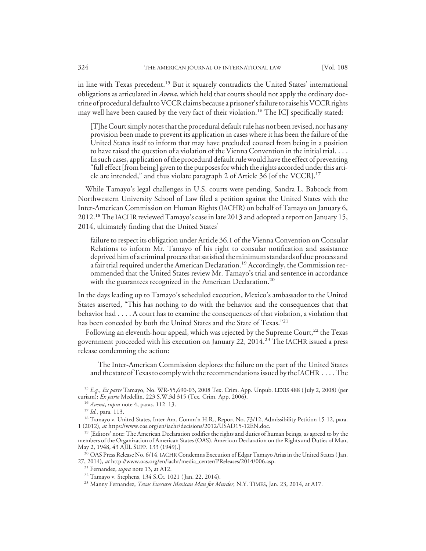in line with Texas precedent.<sup>15</sup> But it squarely contradicts the United States' international obligations as articulated in *Avena*, which held that courts should not apply the ordinary doctrine of procedural default to VCCR claims because a prisoner's failure to raise his VCCR rights may well have been caused by the very fact of their violation.<sup>16</sup> The ICJ specifically stated:

[T]he Court simply notes that the procedural default rule has not been revised, nor has any provision been made to prevent its application in cases where it has been the failure of the United States itself to inform that may have precluded counsel from being in a position to have raised the question of a violation of the Vienna Convention in the initial trial.... In such cases, application of the procedural default rule would have the effect of preventing "full effect [from being] given to the purposesfor which the rights accorded under this article are intended," and thus violate paragraph 2 of Article 36 [of the VCCR].<sup>17</sup>

While Tamayo's legal challenges in U.S. courts were pending, Sandra L. Babcock from Northwestern University School of Law filed a petition against the United States with the Inter-American Commission on Human Rights (IACHR) on behalf of Tamayo on January 6,  $2012<sup>18</sup>$  The IACHR reviewed Tamayo's case in late 2013 and adopted a report on January 15, 2014, ultimately finding that the United States'

failure to respect its obligation under Article 36.1 of the Vienna Convention on Consular Relations to inform Mr. Tamayo of his right to consular notification and assistance deprived him of a criminal process that satisfied the minimum standards of due process and a fair trial required under the American Declaration.<sup>19</sup> Accordingly, the Commission recommended that the United States review Mr. Tamayo's trial and sentence in accordance with the guarantees recognized in the American Declaration.<sup>20</sup>

In the days leading up to Tamayo's scheduled execution, Mexico's ambassador to the United States asserted, "This has nothing to do with the behavior and the consequences that that behavior had....A court has to examine the consequences of that violation, a violation that has been conceded by both the United States and the State of Texas."<sup>21</sup>

Following an eleventh-hour appeal, which was rejected by the Supreme Court, $^{22}$  the Texas government proceeded with his execution on January 22, 2014.23 The IACHR issued a press release condemning the action:

The Inter-American Commission deplores the failure on the part of the United States and the state of Texas to comply with the recommendations issued by the IACHR  $\dots$ . The

<sup>20</sup> OAS Press Release No. 6/14, IACHR Condemns Execution of Edgar Tamayo Arias in the United States (Jan. 27, 2014), *at* http://www.oas.org/en/iachr/media\_center/PReleases/2014/006.asp.

<sup>22</sup> Tamayo v. Stephens, 134 S.Ct. 1021 ( Jan. 22, 2014).

<sup>15</sup> *E.g.*, *Ex parte* Tamayo, No. WR-55,690-03, 2008 Tex. Crim. App. Unpub. LEXIS 488 ( July 2, 2008) (per curiam); *Ex parte* Medellín, 223 S.W.3d 315 (Tex. Crim. App. 2006).

<sup>16</sup> *Avena*, *supra* note 4, paras. 112–13.

<sup>17</sup> *Id*., para. 113.

<sup>&</sup>lt;sup>18</sup> Tamayo v. United States, Inter-Am. Comm'n H.R., Report No. 73/12, Admissibility Petition 15-12, para. 1 (2012), *at* https://www.oas.org/en/iachr/decisions/2012/USAD15-12EN.doc.

 $19$  [Editors' note: The American Declaration codifies the rights and duties of human beings, as agreed to by the members of the Organization of American States (OAS). American Declaration on the Rights and Duties of Man, May 2, 1948, 43 AJIL SUPP. 133 (1949).]

<sup>21</sup> Fernandez, *supra* note 13, at A12.

<sup>23</sup> Manny Fernandez, *Texas Executes Mexican Man for Murder*, N.Y. TIMES, Jan. 23, 2014, at A17.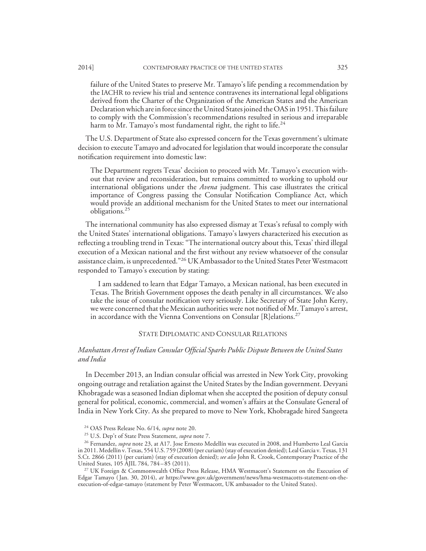failure of the United States to preserve Mr. Tamayo's life pending a recommendation by the IACHR to review his trial and sentence contravenes its international legal obligations derived from the Charter of the Organization of the American States and the American Declaration which are in force since the United States joined the OAS in 1951. This failure to comply with the Commission's recommendations resulted in serious and irreparable harm to Mr. Tamayo's most fundamental right, the right to life.<sup>24</sup>

The U.S. Department of State also expressed concern for the Texas government's ultimate decision to execute Tamayo and advocated for legislation that would incorporate the consular notification requirement into domestic law:

The Department regrets Texas' decision to proceed with Mr. Tamayo's execution without that review and reconsideration, but remains committed to working to uphold our international obligations under the *Avena* judgment. This case illustrates the critical importance of Congress passing the Consular Notification Compliance Act, which would provide an additional mechanism for the United States to meet our international obligations.<sup>25</sup>

The international community has also expressed dismay at Texas's refusal to comply with the United States' international obligations. Tamayo's lawyers characterized his execution as reflecting a troubling trend in Texas: "The international outcry about this, Texas' third illegal execution of a Mexican national and the first without any review whatsoever of the consular assistance claim, is unprecedented."<sup>26</sup> UK Ambassador to the United States Peter Westmacott responded to Tamayo's execution by stating:

I am saddened to learn that Edgar Tamayo, a Mexican national, has been executed in Texas. The British Government opposes the death penalty in all circumstances. We also take the issue of consular notification very seriously. Like Secretary of State John Kerry, we were concerned that the Mexican authorities were not notified of Mr. Tamayo's arrest, in accordance with the Vienna Conventions on Consular [R]elations.<sup>27</sup>

#### STATE DIPLOMATIC AND CONSULAR RELATIONS

#### *Manhattan Arrest of Indian Consular Official Sparks Public Dispute Between the United States and India*

In December 2013, an Indian consular official was arrested in New York City, provoking ongoing outrage and retaliation against the United States by the Indian government. Devyani Khobragade was a seasoned Indian diplomat when she accepted the position of deputy consul general for political, economic, commercial, and women's affairs at the Consulate General of India in New York City. As she prepared to move to New York, Khobragade hired Sangeeta

<sup>24</sup> OAS Press Release No. 6/14, *supra* note 20.

<sup>25</sup> U.S. Dep't of State Press Statement, *supra* note 7.

<sup>&</sup>lt;sup>26</sup> Fernandez, *supra* note 23, at A17. Jose Ernesto Medellín was executed in 2008, and Humberto Leal Garcia in 2011. Medellín v. Texas, 554 U.S. 759 (2008) (per curiam) (stay of execution denied); Leal Garcia v. Texas, 131 S.Ct. 2866 (2011) (per curiam) (stay of execution denied); *see also* John R. Crook, Contemporary Practice of the United States, 105 AJIL 784, 784 – 85 (2011).

<sup>27</sup> UK Foreign & Commonwealth Office Press Release, HMA Westmacott's Statement on the Execution of Edgar Tamayo ( Jan. 30, 2014), *at* https://www.gov.uk/government/news/hma-westmacotts-statement-on-theexecution-of-edgar-tamayo (statement by Peter Westmacott, UK ambassador to the United States).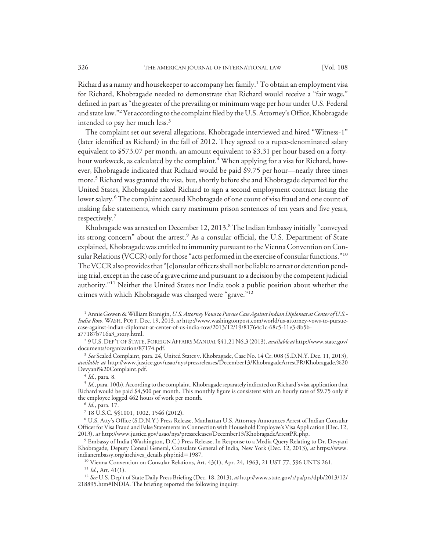Richard as a nanny and housekeeper to accompany her family.<sup>1</sup> To obtain an employment visa for Richard, Khobragade needed to demonstrate that Richard would receive a "fair wage," defined in part as "the greater of the prevailing or minimum wage per hour under U.S. Federal and state law."<sup>2</sup> Yet according to the complaint filed by the U.S. Attorney's Office, Khobragade intended to pay her much less.<sup>3</sup>

The complaint set out several allegations. Khobragade interviewed and hired "Witness-1" (later identified as Richard) in the fall of 2012. They agreed to a rupee-denominated salary equivalent to \$573.07 per month, an amount equivalent to \$3.31 per hour based on a fortyhour workweek, as calculated by the complaint.<sup>4</sup> When applying for a visa for Richard, however, Khobragade indicated that Richard would be paid \$9.75 per hour—nearly three times more.5 Richard was granted the visa, but, shortly before she and Khobragade departed for the United States, Khobragade asked Richard to sign a second employment contract listing the lower salary.<sup>6</sup> The complaint accused Khobragade of one count of visa fraud and one count of making false statements, which carry maximum prison sentences of ten years and five years, respectively.<sup>7</sup>

Khobragade was arrested on December 12, 2013.<sup>8</sup> The Indian Embassy initially "conveyed its strong concern" about the arrest.<sup>9</sup> As a consular official, the U.S. Department of State explained, Khobragade was entitled to immunity pursuant to the Vienna Convention on Consular Relations (VCCR) only for those "acts performed in the exercise of consular functions."<sup>10</sup> TheVCCR also provides that "[c]onsular officers shall not be liable to arrest or detention pending trial, except in the case of a grave crime and pursuant to a decision by the competent judicial authority."<sup>11</sup> Neither the United States nor India took a public position about whether the crimes with which Khobragade was charged were "grave."<sup>12</sup>

<sup>1</sup> Annie Gowen &William Branigin,*U.S. Attorney Vowsto Pursue Case Against Indian Diplomat at Center of U.S.- India Row*, WASH. POST, Dec. 19, 2013, *at* http://www.washingtonpost.com/world/us-attorney-vows-to-pursuecase-against-indian-diplomat-at-center-of-us-india-row/2013/12/19/81764c1c-68c5-11e3-8b5ba77187b716a3\_story.html.

<sup>2</sup> 9 U.S. DEP'T OF STATE, FOREIGN AFFAIRS MANUAL §41.21 N6.3 (2013), *available at* http://www.state.gov/ documents/organization/87174.pdf.

<sup>3</sup> *See* Sealed Complaint, para. 24, United States v. Khobragade, Case No. 14 Cr. 008 (S.D.N.Y. Dec. 11, 2013), *available at* http://www.justice.gov/usao/nys/pressreleases/December13/KhobragadeArrestPR/Khobragade,%20 Devyani%20Complaint.pdf.

<sup>4</sup> *Id.*, para. 8.

<sup>5</sup> *Id.*, para. 10(b). According to the complaint, Khobragade separately indicated on Richard's visa application that Richard would be paid \$4,500 per month. This monthly figure is consistent with an hourly rate of \$9.75 only if the employee logged 462 hours of work per month.

<sup>6</sup> *Id.*, para. 17.

<sup>7</sup> 18 U.S.C. §§1001, 1002, 1546 (2012).

<sup>8</sup> U.S. Atty's Office (S.D.N.Y.) Press Release, Manhattan U.S. Attorney Announces Arrest of Indian Consular Officer for Visa Fraud and False Statements in Connection with Household Employee's Visa Application (Dec. 12, 2013), *at* http://www.justice.gov/usao/nys/pressreleases/December13/KhobragadeArrestPR.php.

<sup>9</sup> Embassy of India (Washington, D.C.) Press Release, In Response to a Media Query Relating to Dr. Devyani Khobragade, Deputy Consul General, Consulate General of India, New York (Dec. 12, 2013), *at* https://www. indianembassy.org/archives\_details.php?nid-1987.

<sup>10</sup> Vienna Convention on Consular Relations, Art. 43(1), Apr. 24, 1963, 21 UST 77, 596 UNTS 261.

<sup>11</sup> *Id.*, Art. 41(1).

<sup>12</sup> *See* U.S. Dep't of State Daily Press Briefing (Dec. 18, 2013), *at* http://www.state.gov/r/pa/prs/dpb/2013/12/ 218895.htm#INDIA. The briefing reported the following inquiry: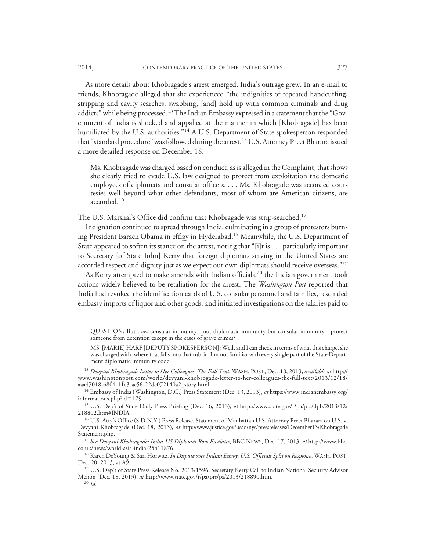As more details about Khobragade's arrest emerged, India's outrage grew. In an e-mail to friends, Khobragade alleged that she experienced "the indignities of repeated handcuffing, stripping and cavity searches, swabbing, [and] hold up with common criminals and drug addicts" while being processed.<sup>13</sup> The Indian Embassy expressed in a statement that the "Government of India is shocked and appalled at the manner in which [Khobragade] has been humiliated by the U.S. authorities."<sup>14</sup> A U.S. Department of State spokesperson responded that "standard procedure" was followed during the arrest.<sup>15</sup> U.S. Attorney Preet Bharara issued a more detailed response on December 18:

Ms. Khobragade was charged based on conduct, as is alleged in the Complaint, that shows she clearly tried to evade U.S. law designed to protect from exploitation the domestic employees of diplomats and consular officers. . . . Ms. Khobragade was accorded courtesies well beyond what other defendants, most of whom are American citizens, are accorded.16

The U.S. Marshal's Office did confirm that Khobragade was strip-searched.<sup>17</sup>

Indignation continued to spread through India, culminating in a group of protestors burning President Barack Obama in effigy in Hyderabad.<sup>18</sup> Meanwhile, the U.S. Department of State appeared to soften its stance on the arrest, noting that "[i]t is . . . particularly important to Secretary [of State John] Kerry that foreign diplomats serving in the United States are accorded respect and dignity just as we expect our own diplomats should receive overseas."<sup>19</sup>

As Kerry attempted to make amends with Indian officials,<sup>20</sup> the Indian government took actions widely believed to be retaliation for the arrest. The *Washington Post* reported that India had revoked the identification cards of U.S. consular personnel and families, rescinded embassy imports of liquor and other goods, and initiated investigations on the salaries paid to

QUESTION: But does consular immunity—not diplomatic immunity but consular immunity—protect someone from detention except in the cases of grave crimes?

MS. [MARIE] HARF [DEPUTY SPOKESPERSON]:Well, and I can check in terms of what this charge, she was charged with, where that falls into that rubric. I'm not familiar with every single part of the State Department diplomatic immunity code.

<sup>13</sup> *Devyani Khobragade Letter to Her Colleagues: The Full Text*, WASH. POST, Dec. 18, 2013, *available at* http:// www.washingtonpost.com/world/devyani-khobrogade-letter-to-her-colleagues-the-full-text/2013/12/18/ aaad7018-6804-11e3-ae56-22de072140a2\_story.html.

<sup>14</sup> Embassy of India (Washington, D.C.) Press Statement (Dec. 13, 2013), *at* https://www.indianembassy.org/ informations.php?id-179.

<sup>15</sup> U.S. Dep't of State Daily Press Briefing (Dec. 16, 2013), *at* http://www.state.gov/r/pa/prs/dpb/2013/12/ 218802.htm#INDIA.

<sup>16</sup> U.S. Atty's Office (S.D.N.Y.) Press Release, Statement of Manhattan U.S. Attorney Preet Bharara on U.S. v. Devyani Khobragade (Dec. 18, 2013), *at* http://www.justice.gov/usao/nys/pressreleases/December13/Khobragade Statement.php.

<sup>17</sup> *See Devyani Khobragade: India-US Diplomat Row Escalates*, BBC NEWS, Dec. 17, 2013, *at* http://www.bbc. co.uk/news/world-asia-india-25411876.

<sup>18</sup> Karen DeYoung & Sari Horwitz, *In Dispute over Indian Envoy, U.S. Officials Split on Response*, WASH. POST, Dec. 20, 2013, at A9.

<sup>19</sup> U.S. Dep't of State Press Release No. 2013/1596, Secretary Kerry Call to Indian National Security Advisor Menon (Dec. 18, 2013), *at* http://www.state.gov/r/pa/prs/ps/2013/218890.htm.

<sup>20</sup> *Id*.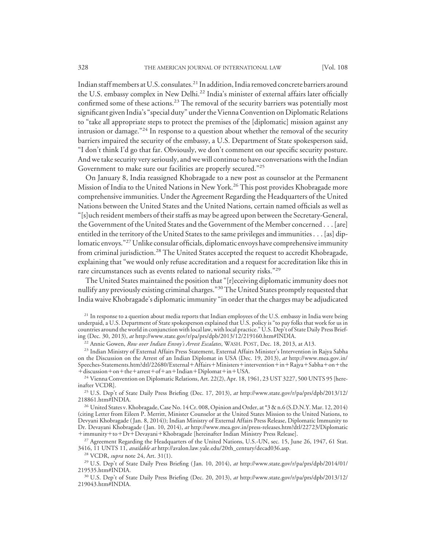Indian staff members at U.S. consulates.<sup>21</sup> In addition, India removed concrete barriers around the U.S. embassy complex in New Delhi.<sup>22</sup> India's minister of external affairs later officially confirmed some of these actions.<sup>23</sup> The removal of the security barriers was potentially most significant given India's "special duty" under the Vienna Convention on Diplomatic Relations to "take all appropriate steps to protect the premises of the [diplomatic] mission against any intrusion or damage."<sup>24</sup> In response to a question about whether the removal of the security barriers impaired the security of the embassy, a U.S. Department of State spokesperson said, "I don't think I'd go that far. Obviously, we don't comment on our specific security posture. And we take security very seriously, and we will continue to have conversations with the Indian Government to make sure our facilities are properly secured."<sup>25</sup>

On January 8, India reassigned Khobragade to a new post as counselor at the Permanent Mission of India to the United Nations in New York.<sup>26</sup> This post provides Khobragade more comprehensive immunities. Under the Agreement Regarding the Headquarters of the United Nations between the United States and the United Nations, certain named officials as well as "[s]uch resident members of their staffs as may be agreed upon between the Secretary-General, the Government of the United States and the Government of the Member concerned . . . [are] entitled in the territory of the United States to the same privileges and immunities . . . [as] diplomatic envoys."<sup>27</sup> Unlike consular officials, diplomatic envoys have comprehensive immunity from criminal jurisdiction.<sup>28</sup> The United States accepted the request to accredit Khobragade, explaining that "we would only refuse accreditation and a request for accreditation like this in rare circumstances such as events related to national security risks."<sup>29</sup>

The United States maintained the position that "[r]eceiving diplomatic immunity does not nullify any previously existing criminal charges."<sup>30</sup> The United States promptly requested that India waive Khobragade's diplomatic immunity "in order that the charges may be adjudicated

<sup>26</sup> United States v. Khobragade, Case No. 14 Cr. 008, Opinion and Order, at \*3 & n.6 (S.D.N.Y.Mar. 12, 2014) (citing Letter from Eileen P. Merritt, Minister Counselor at the United States Mission to the United Nations, to Devyani Khobragade ( Jan. 8, 2014)); Indian Ministry of External Affairs Press Release, Diplomatic Immunity to Dr. Devayani Khobragade ( Jan. 10, 2014), *at* http://www.mea.gov.in/press-releases.htm?dtl/22723/Diplomatic +immunity+to+Dr+Devayani+Khobragade [hereinafter Indian Ministry Press Release].

<sup>27</sup> Agreement Regarding the Headquarters of the United Nations, U.S.-UN, sec. 15, June 26, 1947, 61 Stat. 3416, 11 UNTS 11, *available at* http://avalon.law.yale.edu/20th\_century/decad036.asp.

<sup>28</sup> VCDR, *supra* note 24, Art. 31(1).

<sup>29</sup> U.S. Dep't of State Daily Press Briefing ( Jan. 10, 2014), *at* http://www.state.gov/r/pa/prs/dpb/2014/01/ 219535.htm#INDIA.

<sup>&</sup>lt;sup>21</sup> In response to a question about media reports that Indian employees of the U.S. embassy in India were being underpaid, a U.S. Department of State spokesperson explained that U.S. policy is "to pay folks that work for us in countries around the world in conjunction with local law, with local practice." U.S. Dep't of State Daily Press Briefing (Dec. 30, 2013), *at* http://www.state.gov/r/pa/prs/dpb/2013/12/219160.htm#INDIA.

<sup>22</sup> Annie Gowen, *Row over Indian Envoy's Arrest Escalates*, WASH. POST, Dec. 18, 2013, at A13.

<sup>23</sup> Indian Ministry of External Affairs Press Statement, External Affairs Minister's Intervention in Rajya Sabha on the Discussion on the Arrest of an Indian Diplomat in USA (Dec. 19, 2013), *at* http://www.mea.gov.in/  $S$ peeches-Statements.htm?dtl/22680/External+Affairs+Ministers+intervention+in+Rajya+Sabha+on+the  $+$ discussion + on + the + arrest + of + an + Indian + Diplomat + in + USA.

 $^{24}$  Vienna Convention on Diplomatic Relations, Art. 22(2), Apr. 18, 1961, 23 UST 3227, 500 UNTS 95 [hereinafter VCDR].

<sup>25</sup> U.S. Dep't of State Daily Press Briefing (Dec. 17, 2013), *at* http://www.state.gov/r/pa/prs/dpb/2013/12/ 218861.htm#INDIA.

<sup>30</sup> U.S. Dep't of State Daily Press Briefing (Dec. 20, 2013), *at* http://www.state.gov/r/pa/prs/dpb/2013/12/ 219043.htm#INDIA.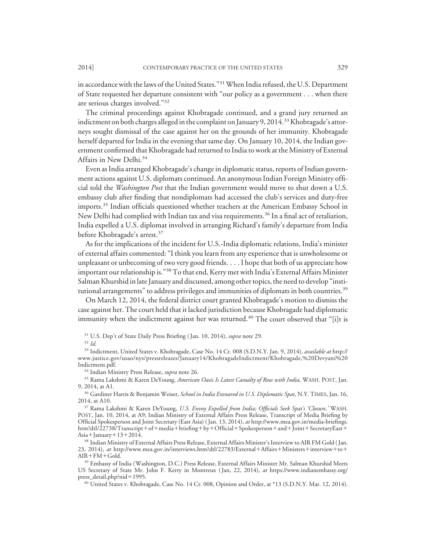in accordance with the laws of the United States."<sup>31</sup> When India refused, the U.S. Department of State requested her departure consistent with "our policy as a government . . . when there are serious charges involved."<sup>32</sup>

The criminal proceedings against Khobragade continued, and a grand jury returned an indictment on both charges alleged in the complaint on January 9, 2014.<sup>33</sup> Khobragade's attorneys sought dismissal of the case against her on the grounds of her immunity. Khobragade herself departed for India in the evening that same day. On January 10, 2014, the Indian government confirmed that Khobragade had returned to India to work at the Ministry of External Affairs in New Delhi.<sup>34</sup>

Even as India arranged Khobragade's change in diplomatic status, reports of Indian government actions against U.S. diplomats continued. An anonymous Indian Foreign Ministry official told the *Washington Post* that the Indian government would move to shut down a U.S. embassy club after finding that nondiplomats had accessed the club's services and duty-free imports.<sup>35</sup> Indian officials questioned whether teachers at the American Embassy School in New Delhi had complied with Indian tax and visa requirements.<sup>36</sup> In a final act of retaliation, India expelled a U.S. diplomat involved in arranging Richard's family's departure from India before Khobragade's arrest.<sup>37</sup>

As for the implications of the incident for U.S.-India diplomatic relations, India's minister of external affairs commented: "I think you learn from any experience that is unwholesome or unpleasant or unbecoming of two very good friends....I hope that both of us appreciate how important our relationship is."<sup>38</sup> To that end, Kerry met with India's External Affairs Minister Salman Khurshid in late January and discussed, among other topics, the need to develop "institutional arrangements" to address privileges and immunities of diplomats in both countries.<sup>39</sup>

On March 12, 2014, the federal district court granted Khobragade's motion to dismiss the case against her. The court held that it lacked jurisdiction because Khobragade had diplomatic immunity when the indictment against her was returned.<sup>40</sup> The court observed that "[i]t is

<sup>31</sup> U.S. Dep't of State Daily Press Briefing ( Jan. 10, 2014), *supra* note 29.

<sup>33</sup> Indictment, United States v. Khobragade, Case No. 14 Cr. 008 (S.D.N.Y. Jan. 9, 2014), *available at* http:// www.justice.gov/usao/nys/pressreleases/January14/KhobragadeIndictment/Khobragade,%20Devyani%20 Indictment.pdf.

<sup>34</sup> Indian Ministry Press Release, *supra* note 26.

<sup>35</sup> Rama Lakshmi & Karen DeYoung, *American Oasis Is Latest Casualty of Row with India*, WASH. POST, Jan. 9, 2014, at A1.

<sup>36</sup> Gardiner Harris & Benjamin Weiser, *School in India Ensnared in U.S. Diplomatic Spat*, N.Y. TIMES, Jan. 16, 2014, at A10.

<sup>37</sup> Rama Lakshmi & Karen DeYoung, *U.S. Envoy Expelled from India; Officials Seek Spat's 'Closure,'* WASH. POST, Jan. 10, 2014, at A9; Indian Ministry of External Affairs Press Release, Transcript of Media Briefing by Official Spokesperson and Joint Secretary (East Asia) ( Jan. 13, 2014), *at* http://www.mea.gov.in/media-briefings. htm?dtl/22738/Transcript+of+media+briefing+by+Official+Spokesperson+and+Joint+SecretaryEast+ Asia+January+ $13+2014$ .

<sup>38</sup> Indian Ministry of External Affairs Press Release, External Affairs Minister's Interview to AIR FM Gold ( Jan. 23, 2014), *at* http://www.mea.gov.in/interviews.htm?dtl/22783/External+Affairs+Ministers+interview+to+  $AIR + FM + Gold.$ 

<sup>39</sup> Embassy of India (Washington, D.C.) Press Release, External Affairs Minister Mr. Salman Khurshid Meets US Secretary of State Mr. John F. Kerry in Montreux ( Jan, 22, 2014), *at* https://www.indianembassy.org/ press\_detail.php?nid-1995.

<sup>40</sup> United States v. Khobragade, Case No. 14 Cr. 008, Opinion and Order, at \*13 (S.D.N.Y. Mar. 12, 2014).

<sup>32</sup> *Id.*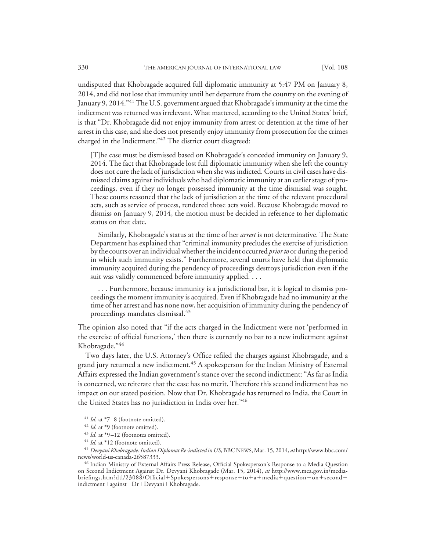undisputed that Khobragade acquired full diplomatic immunity at 5:47 PM on January 8, 2014, and did not lose that immunity until her departure from the country on the evening of January 9, 2014."<sup>41</sup> The U.S. government argued that Khobragade's immunity at the time the indictment was returned was irrelevant. What mattered, according to the United States' brief, is that "Dr. Khobragade did not enjoy immunity from arrest or detention at the time of her arrest in this case, and she does not presently enjoy immunity from prosecution for the crimes charged in the Indictment."42 The district court disagreed:

[T]he case must be dismissed based on Khobragade's conceded immunity on January 9, 2014. The fact that Khobragade lost full diplomatic immunity when she left the country does not cure the lack of jurisdiction when she was indicted. Courts in civil cases have dismissed claims against individuals who had diplomatic immunity at an earlier stage of proceedings, even if they no longer possessed immunity at the time dismissal was sought. These courts reasoned that the lack of jurisdiction at the time of the relevant procedural acts, such as service of process, rendered those acts void. Because Khobragade moved to dismiss on January 9, 2014, the motion must be decided in reference to her diplomatic status on that date.

Similarly, Khobragade's status at the time of her *arrest* is not determinative. The State Department has explained that "criminal immunity precludes the exercise of jurisdiction by the courts over an individual whether the incident occurred *prior to* or during the period in which such immunity exists." Furthermore, several courts have held that diplomatic immunity acquired during the pendency of proceedings destroys jurisdiction even if the suit was validly commenced before immunity applied....

. . . Furthermore, because immunity is a jurisdictional bar, it is logical to dismiss proceedings the moment immunity is acquired. Even if Khobragade had no immunity at the time of her arrest and has none now, her acquisition of immunity during the pendency of proceedings mandates dismissal.<sup>43</sup>

The opinion also noted that "if the acts charged in the Indictment were not 'performed in the exercise of official functions,' then there is currently no bar to a new indictment against Khobragade."<sup>44</sup>

Two days later, the U.S. Attorney's Office refiled the charges against Khobragade, and a grand jury returned a new indictment.<sup>45</sup> A spokesperson for the Indian Ministry of External Affairs expressed the Indian government's stance over the second indictment: "As far as India is concerned, we reiterate that the case has no merit. Therefore this second indictment has no impact on our stated position. Now that Dr. Khobragade has returned to India, the Court in the United States has no jurisdiction in India over her."46

<sup>41</sup> *Id.* at \*7-8 (footnote omitted).

<sup>42</sup> *Id.* at \*9 (footnote omitted).

<sup>43</sup> *Id*. at \*9 –12 (footnotes omitted).

<sup>44</sup> *Id.* at \*12 (footnote omitted).

<sup>45</sup> *Devyani Khobragade: Indian Diplomat Re-indictedin US*, BBC NEWS,Mar. 15, 2014, *at* http://www.bbc.com/ news/world-us-canada-26587333.

<sup>46</sup> Indian Ministry of External Affairs Press Release, Official Spokesperson's Response to a Media Question on Second Indictment Against Dr. Devyani Khobragade (Mar. 15, 2014), *at* http://www.mea.gov.in/mediabriefings.htm?dtl/23088/Official+Spokespersons+response+to+a+media+question+on+second+  $indictment + against + Dr + Devyani + Khobragade.$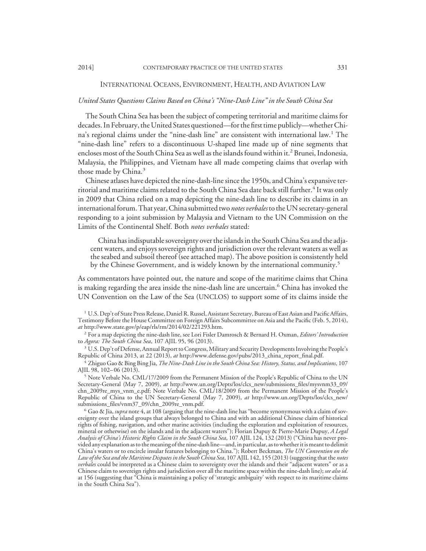#### INTERNATIONAL OCEANS, ENVIRONMENT, HEALTH, AND AVIATION LAW

#### *United States Questions Claims Based on China's "Nine-Dash Line" in the South China Sea*

The South China Sea has been the subject of competing territorial and maritime claims for decades. In February, the United States questioned—for the first time publicly—whether China's regional claims under the "nine-dash line" are consistent with international law.<sup>1</sup> The "nine-dash line" refers to a discontinuous U-shaped line made up of nine segments that encloses most of the South China Sea as well as the islands found within it.<sup>2</sup> Brunei, Indonesia, Malaysia, the Philippines, and Vietnam have all made competing claims that overlap with those made by China.3

Chinese atlases have depicted the nine-dash-line since the 1950s, and China's expansive territorial and maritime claims related to the South China Sea date back still further.<sup>4</sup> It was only in 2009 that China relied on a map depicting the nine-dash line to describe its claims in an international forum. That year, China submitted two *notes verbales* to the UN secretary-general responding to a joint submission by Malaysia and Vietnam to the UN Commission on the Limits of the Continental Shelf. Both *notes verbales* stated:

China has indisputable sovereignty over the islands in the SouthChina Sea and the adjacent waters, and enjoys sovereign rights and jurisdiction over the relevant waters as well as the seabed and subsoil thereof (see attached map). The above position is consistently held by the Chinese Government, and is widely known by the international community.<sup>5</sup>

As commentators have pointed out, the nature and scope of the maritime claims that China is making regarding the area inside the nine-dash line are uncertain.<sup>6</sup> China has invoked the UN Convention on the Law of the Sea (UNCLOS) to support some of its claims inside the

<sup>1</sup> U.S. Dep't of State Press Release, Daniel R. Russel, Assistant Secretary, Bureau of East Asian and Pacific Affairs, Testimony Before the House Committee on Foreign Affairs Subcommittee on Asia and the Pacific (Feb. 5, 2014), *at* http://www.state.gov/p/eap/rls/rm/2014/02/221293.htm.

<sup>2</sup> For a map depicting the nine-dash line, see Lori Fisler Damrosch & Bernard H. Oxman, *Editors' Introduction* to *Agora: The South China Sea*, 107 AJIL 95, 96 (2013).

 $3 \text{ U.S.}$  Dep't of Defense, Annual Report to Congress, Military and Security Developments Involving the People's Republic of China 2013, at 22 (2013), *at* http://www.defense.gov/pubs/2013\_china\_report\_final.pdf.

<sup>4</sup> Zhiguo Gao & Bing Bing Jia, *The Nine-Dash Line in the South China Sea: History, Status, and Implications*, 107 AJIL 98, 102-06 (2013).

<sup>5</sup> Note Verbale No. CML/17/2009 from the Permanent Mission of the People's Republic of China to the UN Secretary-General (May 7, 2009), *at* http://www.un.org/Depts/los/clcs\_new/submissions\_files/mysvnm33\_09/ chn\_2009re\_mys\_vnm\_e.pdf; Note Verbale No. CML/18/2009 from the Permanent Mission of the People's Republic of China to the UN Secretary-General (May 7, 2009), *at* http://www.un.org/Depts/los/clcs\_new/ submissions\_files/vnm37\_09/chn\_2009re\_vnm.pdf.

<sup>6</sup> Gao & Jia, *supra* note 4, at 108 (arguing that the nine-dash line has "become synonymous with a claim of sovereignty over the island groups that always belonged to China and with an additional Chinese claim of historical rights of fishing, navigation, and other marine activities (including the exploration and exploitation of resources, mineral or otherwise) on the islands and in the adjacent waters"); Florian Dupuy & Pierre-Marie Dupuy, *A Legal Analysis of China's Historic Rights Claim in the South China Sea*, 107 AJIL 124, 132 (2013) ("China has never provided any explanation as to the meaning of the nine-dash line—and, in particular, as to whether it is meant to delimit China's waters or to encircle insular features belonging to China."); Robert Beckman, *The UN Convention on the Law of the Sea and the Maritime Disputes in the South China Sea*, 107 AJIL 142, 155 (2013) (suggesting that the *notes verbales* could be interpreted as a Chinese claim to sovereignty over the islands and their "adjacent waters" or as a Chinese claim to sovereign rights and jurisdiction over all the maritime space within the nine-dash line); *see also id*. at 156 (suggesting that "China is maintaining a policy of 'strategic ambiguity' with respect to its maritime claims in the South China Sea").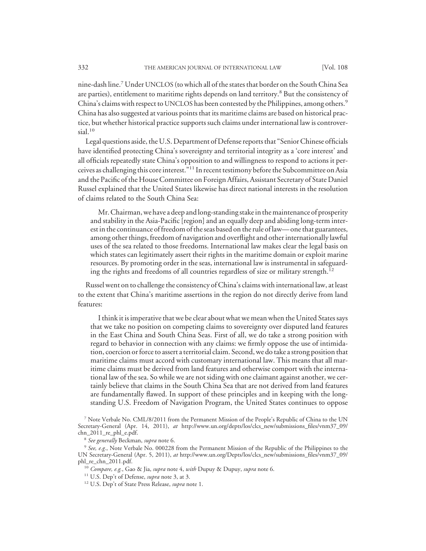nine-dash line.7Under UNCLOS (to which all of the states that border on the South China Sea are parties), entitlement to maritime rights depends on land territory.<sup>8</sup> But the consistency of China's claims with respect to UNCLOS has been contested by the Philippines, among others.<sup>9</sup> China has also suggested at various points that its maritime claims are based on historical practice, but whether historical practice supports such claims under international law is controver $sial.<sup>10</sup>$ 

Legal questions aside, the U.S. Department of Defense reports that "Senior Chinese officials have identified protecting China's sovereignty and territorial integrity as a 'core interest' and all officials repeatedly state China's opposition to and willingness to respond to actions it perceives as challenging this core interest."<sup>11</sup> In recent testimony before the Subcommittee on Asia and the Pacific of the House Committee on Foreign Affairs, Assistant Secretary of State Daniel Russel explained that the United States likewise has direct national interests in the resolution of claims related to the South China Sea:

Mr.Chairman,we have a deep and long-standing stake in themaintenance of prosperity and stability in the Asia-Pacific [region] and an equally deep and abiding long-term interest in the continuance offreedom of the seas based on the rule of law—one that guarantees, among other things, freedom of navigation and overflight and other internationally lawful uses of the sea related to those freedoms. International law makes clear the legal basis on which states can legitimately assert their rights in the maritime domain or exploit marine resources. By promoting order in the seas, international law is instrumental in safeguarding the rights and freedoms of all countries regardless of size or military strength.<sup>12</sup>

Russel went on to challenge the consistency of China's claims with international law, at least to the extent that China's maritime assertions in the region do not directly derive from land features:

I think it is imperative that we be clear about what we mean when the United States says that we take no position on competing claims to sovereignty over disputed land features in the East China and South China Seas. First of all, we do take a strong position with regard to behavior in connection with any claims: we firmly oppose the use of intimidation, coercion or force to assert a territorial claim. Second, we do take a strong position that maritime claims must accord with customary international law. This means that all maritime claims must be derived from land features and otherwise comport with the international law of the sea. So while we are not siding with one claimant against another, we certainly believe that claims in the South China Sea that are not derived from land features are fundamentally flawed. In support of these principles and in keeping with the longstanding U.S. Freedom of Navigation Program, the United States continues to oppose

<sup>7</sup> Note Verbale No. CML/8/2011 from the Permanent Mission of the People's Republic of China to the UN Secretary-General (Apr. 14, 2011), *at* http://www.un.org/depts/los/clcs\_new/submissions\_files/vnm37\_09/ chn\_2011\_re\_phl\_e.pdf.

<sup>8</sup> *See generally* Beckman, *supra* note 6.

<sup>&</sup>lt;sup>9</sup> See, e.g., Note Verbale No. 000228 from the Permanent Mission of the Republic of the Philippines to the UN Secretary-General (Apr. 5, 2011), *at* http://www.un.org/Depts/los/clcs\_new/submissions\_files/vnm37\_09/ phl\_re\_chn\_2011.pdf.

<sup>10</sup> *Compare, e.g.*, Gao & Jia, *supra* note 4, *with* Dupuy & Dupuy, *supra* note 6.

<sup>11</sup> U.S. Dep't of Defense, *supra* note 3, at 3.

<sup>12</sup> U.S. Dep't of State Press Release, *supra* note 1.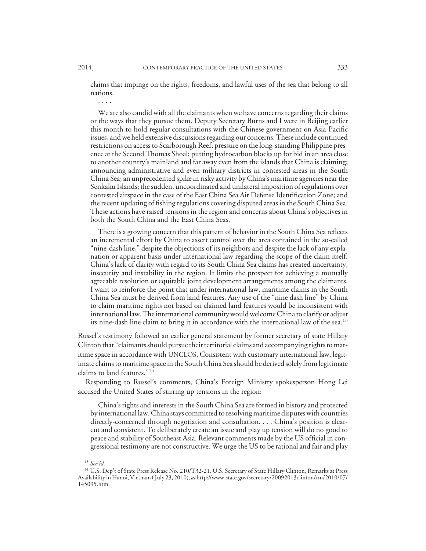claims that impinge on the rights, freedoms, and lawful uses of the sea that belong to all nations.

We are also candid with all the claimants when we have concerns regarding their claims or the ways that they pursue them. Deputy Secretary Burns and I were in Beijing earlier this month to hold regular consultations with the Chinese government on Asia-Pacific issues, and we held extensive discussions regarding our concerns. These include continued restrictions on access to Scarborough Reef; pressure on the long-standing Philippine presence at the Second Thomas Shoal; putting hydrocarbon blocks up for bid in an area close to another country's mainland and far away even from the islands that China is claiming; announcing administrative and even military districts in contested areas in the South China Sea; an unprecedented spike in risky activity by China's maritime agencies near the Senkaku Islands; the sudden, uncoordinated and unilateral imposition of regulations over contested airspace in the case of the East China Sea Air Defense Identification Zone; and the recent updating of fishing regulations covering disputed areas in the South China Sea. These actions have raised tensions in the region and concerns about China's objectives in both the South China and the East China Seas.

There is a growing concern that this pattern of behavior in the South China Sea reflects an incremental effort by China to assert control over the area contained in the so-called "nine-dash line," despite the objections of its neighbors and despite the lack of any explanation or apparent basis under international law regarding the scope of the claim itself. China's lack of clarity with regard to its South China Sea claims has created uncertainty, insecurity and instability in the region. It limits the prospect for achieving a mutually agreeable resolution or equitable joint development arrangements among the claimants. I want to reinforce the point that under international law, maritime claims in the South China Sea must be derived from land features. Any use of the "nine dash line" by China to claim maritime rights not based on claimed land features would be inconsistent with international law. The international community would welcome China to clarify or adjust its nine-dash line claim to bring it in accordance with the international law of the sea.<sup>13</sup>

Russel's testimony followed an earlier general statement by former secretary of state Hillary Clinton that "claimants should pursue their territorial claims and accompanying rights to maritime space in accordance with UNCLOS. Consistent with customary international law, legitimate claims to maritime space in the South China Sea should be derived solely from legitimate claims to land features."<sup>14</sup>

Responding to Russel's comments, China's Foreign Ministry spokesperson Hong Lei accused the United States of stirring up tensions in the region:

China's rights and interests in the South China Sea are formed in history and protected by international law. China stays committed to resolving maritime disputes with countries directly-concerned through negotiation and consultation.... China's position is clearcut and consistent. To deliberately create an issue and play up tension will do no good to peace and stability of Southeast Asia. Relevant comments made by the US official in congressional testimony are not constructive. We urge the US to be rational and fair and play

....

<sup>13</sup> *See id.*

<sup>14</sup> U.S. Dep't of State Press Release No. 210/T32-21, U.S. Secretary of State Hillary Clinton, Remarks at Press Availability in Hanoi, Vietnam ( July 23, 2010), *at* http://www.state.gov/secretary/20092013clinton/rm/2010/07/ 145095.htm.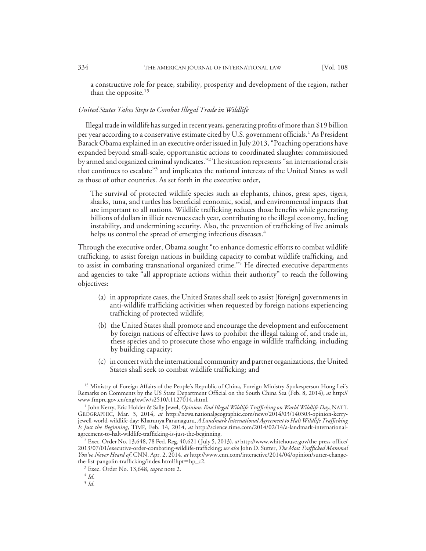a constructive role for peace, stability, prosperity and development of the region, rather than the opposite.<sup>15</sup>

#### *United States Takes Steps to Combat Illegal Trade in Wildlife*

Illegal trade in wildlife has surged in recent years, generating profits of more than \$19 billion per year according to a conservative estimate cited by U.S. government officials.<sup>1</sup> As President Barack Obama explained in an executive order issued in July 2013, "Poaching operations have expanded beyond small-scale, opportunistic actions to coordinated slaughter commissioned by armed and organized criminal syndicates."<sup>2</sup> The situation represents "an international crisis that continues to escalate"<sup>3</sup> and implicates the national interests of the United States as well as those of other countries. As set forth in the executive order,

The survival of protected wildlife species such as elephants, rhinos, great apes, tigers, sharks, tuna, and turtles has beneficial economic, social, and environmental impacts that are important to all nations. Wildlife trafficking reduces those benefits while generating billions of dollars in illicit revenues each year, contributing to the illegal economy, fueling instability, and undermining security. Also, the prevention of trafficking of live animals helps us control the spread of emerging infectious diseases.<sup>4</sup>

Through the executive order, Obama sought "to enhance domestic efforts to combat wildlife trafficking, to assist foreign nations in building capacity to combat wildlife trafficking, and to assist in combating transnational organized crime."<sup>5</sup> He directed executive departments and agencies to take "all appropriate actions within their authority" to reach the following objectives:

- (a) in appropriate cases, the United States shall seek to assist [foreign] governments in anti-wildlife trafficking activities when requested by foreign nations experiencing trafficking of protected wildlife;
- (b) the United States shall promote and encourage the development and enforcement by foreign nations of effective laws to prohibit the illegal taking of, and trade in, these species and to prosecute those who engage in wildlife trafficking, including by building capacity;
- (c) in concert with the international community and partner organizations, the United States shall seek to combat wildlife trafficking; and

<sup>&</sup>lt;sup>15</sup> Ministry of Foreign Affairs of the People's Republic of China, Foreign Ministry Spokesperson Hong Lei's Remarks on Comments by the US State Department Official on the South China Sea (Feb. 8, 2014), *at* http:// www.fmprc.gov.cn/eng/xwfw/s2510/t1127014.shtml.

<sup>1</sup> John Kerry, Eric Holder & Sally Jewel, *Opinion: End Illegal Wildlife Trafficking on World Wildlife Day*, NAT'L GEOGRAPHIC, Mar. 3, 2014, *at* http://news.nationalgeographic.com/news/2014/03/140303-opinion-kerryjewell-world-wildlife-day; Kharunya Paramaguru, *A Landmark International Agreement to Halt Wildlife Trafficking Is Just the Beginning*, TIME, Feb. 14, 2014, *at* http://science.time.com/2014/02/14/a-landmark-internationalagreement-to-halt-wildlife-trafficking-is-just-the-beginning.

<sup>2</sup> Exec. Order No. 13,648, 78 Fed. Reg. 40,621 ( July 5, 2013), *at* http://www.whitehouse.gov/the-press-office/ 2013/07/01/executive-order-combating-wildlife-trafficking; *see also* John D. Sutter, *The Most Trafficked Mammal You've Never Heard of*, CNN, Apr. 2, 2014, *at* http://www.cnn.com/interactive/2014/04/opinion/sutter-changethe-list-pangolin-trafficking/index.html?hpt-hp\_c2.

<sup>3</sup> Exec. Order No. 13,648, *supra* note 2.

 $4$  *Id.* 

<sup>5</sup> *Id*.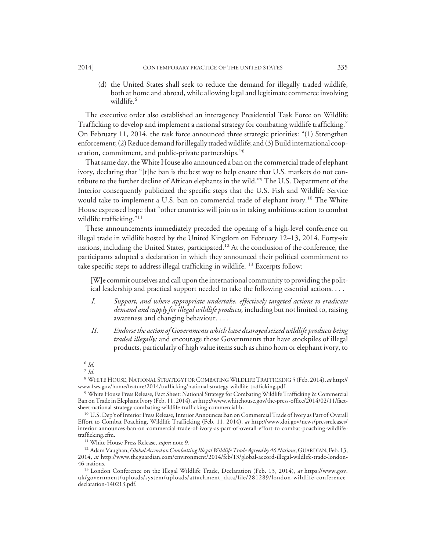(d) the United States shall seek to reduce the demand for illegally traded wildlife, both at home and abroad, while allowing legal and legitimate commerce involving wildlife.<sup>6</sup>

The executive order also established an interagency Presidential Task Force on Wildlife Trafficking to develop and implement a national strategy for combating wildlife trafficking.7 On February 11, 2014, the task force announced three strategic priorities: "(1) Strengthen enforcement; (2) Reduce demand for illegally traded wildlife; and (3) Build international cooperation, commitment, and public-private partnerships."<sup>8</sup>

That same day, theWhite House also announced a ban on the commercial trade of elephant ivory, declaring that "[t]he ban is the best way to help ensure that U.S. markets do not contribute to the further decline of African elephants in the wild."9 The U.S. Department of the Interior consequently publicized the specific steps that the U.S. Fish and Wildlife Service would take to implement a U.S. ban on commercial trade of elephant ivory.<sup>10</sup> The White House expressed hope that "other countries will join us in taking ambitious action to combat wildlife trafficking."<sup>11</sup>

These announcements immediately preceded the opening of a high-level conference on illegal trade in wildlife hosted by the United Kingdom on February 12–13, 2014. Forty-six nations, including the United States, participated.<sup>12</sup> At the conclusion of the conference, the participants adopted a declaration in which they announced their political commitment to take specific steps to address illegal trafficking in wildlife.<sup>13</sup> Excerpts follow:

[W]e commit ourselves and call upon the international community to providing the political leadership and practical support needed to take the following essential actions....

- *I. Support, and where appropriate undertake, effectively targeted actions to eradicate demand and supply for illegal wildlife products,* including but not limited to, raising awareness and changing behaviour....
- *II. Endorse the action of Governments which have destroyed seized wildlife products being traded illegally;* and encourage those Governments that have stockpiles of illegal products, particularly of high value items such as rhino horn or elephant ivory, to

<sup>8</sup> WHITE HOUSE, NATIONAL STRATEGY FOR COMBATING WILDLIFE TRAFFICKING 5 (Feb. 2014), at http:// www.fws.gov/home/feature/2014/trafficking/national-strategy-wildlife-trafficking.pdf.

<sup>9</sup> White House Press Release, Fact Sheet: National Strategy for Combating Wildlife Trafficking & Commercial Ban on Trade in Elephant Ivory (Feb. 11, 2014), *at* http://www.whitehouse.gov/the-press-office/2014/02/11/factsheet-national-strategy-combating-wildlife-trafficking-commercial-b.

<sup>10</sup> U.S. Dep't of Interior Press Release, Interior Announces Ban on Commercial Trade of Ivory as Part of Overall Effort to Combat Poaching, Wildlife Trafficking (Feb. 11, 2014), *at* http://www.doi.gov/news/pressreleases/ interior-announces-ban-on-commercial-trade-of-ivory-as-part-of-overall-effort-to-combat-poaching-wildlifetrafficking.cfm.

<sup>11</sup> White House Press Release, *supra* note 9.

<sup>12</sup> Adam Vaughan, *Global Accord on Combatting Illegal Wildlife Trade Agreed by 46 Nations*, GUARDIAN, Feb. 13, 2014, *at* http://www.theguardian.com/environment/2014/feb/13/global-accord-illegal-wildlife-trade-london-46-nations.

<sup>13</sup> London Conference on the Illegal Wildlife Trade, Declaration (Feb. 13, 2014), *at* https://www.gov. uk/government/uploads/system/uploads/attachment\_data/file/281289/london-wildlife-conferencedeclaration-140213.pdf.

<sup>6</sup> *Id.*

<sup>7</sup> *Id*.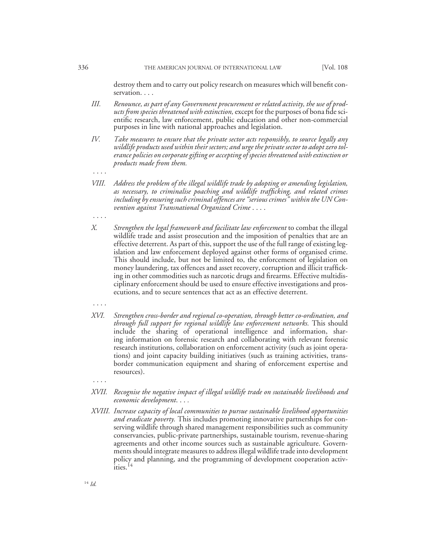destroy them and to carry out policy research on measures which will benefit conservation...

- *III. Renounce, as part of any Government procurement or related activity, the use of products from species threatened with extinction,*except for the purposes of bona fide scientific research, law enforcement, public education and other non-commercial purposes in line with national approaches and legislation.
- *IV. Take measures to ensure that the private sector acts responsibly, to source legally any wildlife products used within their sectors; and urge the private sector to adopt zero tolerance policies on corporate gifting or accepting of species threatened with extinction or products made from them.*
- ....

....

- *VIII. Address the problem of the illegal wildlife trade by adopting or amending legislation, as necessary, to criminalise poaching and wildlife trafficking, and related crimes including by ensuring such criminal offences are "serious crimes" within the UN Convention against Transnational Organized Crime* ....
- *X. Strengthen the legal framework and facilitate law enforcement* to combat the illegal wildlife trade and assist prosecution and the imposition of penalties that are an effective deterrent. As part of this, support the use of the full range of existing legislation and law enforcement deployed against other forms of organised crime. This should include, but not be limited to, the enforcement of legislation on money laundering, tax offences and asset recovery, corruption and illicit trafficking in other commodities such as narcotic drugs and firearms. Effective multidisciplinary enforcement should be used to ensure effective investigations and prosecutions, and to secure sentences that act as an effective deterrent.

....

*XVI. Strengthen cross-border and regional co-operation, through better co-ordination, and through full support for regional wildlife law enforcement networks.* This should include the sharing of operational intelligence and information, sharing information on forensic research and collaborating with relevant forensic research institutions, collaboration on enforcement activity (such as joint operations) and joint capacity building initiatives (such as training activities, transborder communication equipment and sharing of enforcement expertise and resources).

....

- *XVII. Recognise the negative impact of illegal wildlife trade on sustainable livelihoods and economic development*... *.*
- *XVIII. Increase capacity of local communities to pursue sustainable livelihood opportunities and eradicate poverty.* This includes promoting innovative partnerships for conserving wildlife through shared management responsibilities such as community conservancies, public-private partnerships, sustainable tourism, revenue-sharing agreements and other income sources such as sustainable agriculture. Governments should integrate measures to address illegal wildlife trade into development policy and planning, and the programming of development cooperation activities.<sup>14</sup>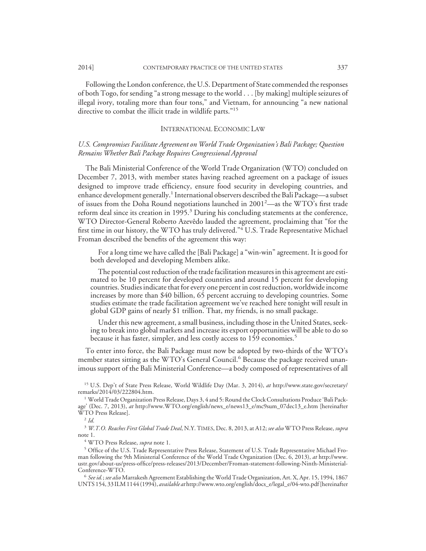Following the London conference, the U.S. Department of State commended the responses of both Togo, for sending "a strong message to the world . . . [by making] multiple seizures of illegal ivory, totaling more than four tons," and Vietnam, for announcing "a new national directive to combat the illicit trade in wildlife parts."<sup>15</sup>

#### INTERNATIONAL ECONOMIC LAW

*U.S. Compromises Facilitate Agreement on World Trade Organization's Bali Package; Question Remains Whether Bali Package Requires Congressional Approval*

The Bali Ministerial Conference of the World Trade Organization (WTO) concluded on December 7, 2013, with member states having reached agreement on a package of issues designed to improve trade efficiency, ensure food security in developing countries, and enhance development generally.<sup>1</sup> International observers described the Bali Package—a subset of issues from the Doha Round negotiations launched in 20012 —as the WTO's first trade reform deal since its creation in 1995.3 During his concluding statements at the conference, WTO Director-General Roberto Azevêdo lauded the agreement, proclaiming that "for the first time in our history, the WTO has truly delivered."<sup>4</sup> U.S. Trade Representative Michael Froman described the benefits of the agreement this way:

For a long time we have called the [Bali Package] a "win-win" agreement. It is good for both developed and developing Members alike.

The potential cost reduction of the trade facilitation measures in this agreement are estimated to be 10 percent for developed countries and around 15 percent for developing countries. Studies indicate that for every one percent in cost reduction, worldwide income increases by more than \$40 billion, 65 percent accruing to developing countries. Some studies estimate the trade facilitation agreement we've reached here tonight will result in global GDP gains of nearly \$1 trillion. That, my friends, is no small package.

Under this new agreement, a small business, including those in the United States, seeking to break into global markets and increase its export opportunities will be able to do so because it has faster, simpler, and less costly access to 159 economies.<sup>5</sup>

To enter into force, the Bali Package must now be adopted by two-thirds of the WTO's member states sitting as the WTO's General Council.<sup>6</sup> Because the package received unanimous support of the Bali Ministerial Conference—a body composed of representatives of all

<sup>4</sup> WTO Press Release, *supra* note 1.

<sup>6</sup> *See id.*; *see also* Marrakesh Agreement Establishing the World Trade Organization, Art. X, Apr. 15, 1994, 1867 UNTS 154, 33 ILM 1144 (1994), *available at* http://www.wto.org/english/docs\_e/legal\_e/04-wto.pdf [hereinafter

<sup>15</sup> U.S. Dep't of State Press Release, World Wildlife Day (Mar. 3, 2014), *at* http://www.state.gov/secretary/ remarks/2014/03/222804.htm.

<sup>1</sup> World Trade Organization Press Release, Days 3, 4 and 5: Round the Clock Consultations Produce 'Bali Package' (Dec. 7, 2013), *at* http://www.WTO.org/english/news\_e/news13\_e/mc9sum\_07dec13\_e.htm [hereinafter WTO Press Release].

<sup>2</sup> *Id.*

<sup>3</sup> *W.T.O. Reaches First Global Trade Deal*, N.Y. TIMES, Dec. 8, 2013, at A12; *see also* WTO Press Release, *supra* note 1.

<sup>5</sup> Office of the U.S. Trade Representative Press Release, Statement of U.S. Trade Representative Michael Froman following the 9th Ministerial Conference of the World Trade Organization (Dec. 6, 2013), *at* http://www. ustr.gov/about-us/press-office/press-releases/2013/December/Froman-statement-following-Ninth-Ministerial-Conference-WTO.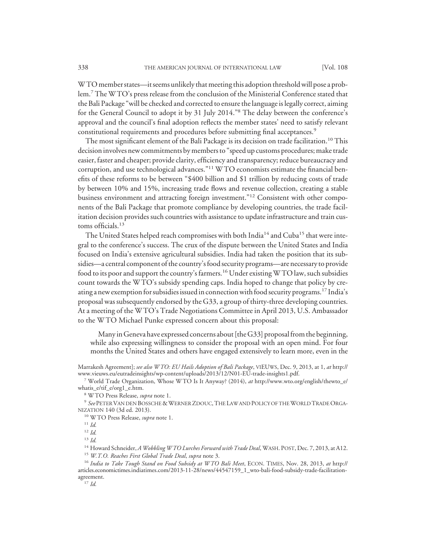W TO member states—it seems unlikely that meeting this adoption threshold will pose a problem.7 The W TO's press release from the conclusion of the Ministerial Conference stated that the Bali Package "will be checked and corrected to ensure the language is legally correct, aiming for the General Council to adopt it by 31 July 2014."8 The delay between the conference's approval and the council's final adoption reflects the member states' need to satisfy relevant constitutional requirements and procedures before submitting final acceptances.<sup>9</sup>

The most significant element of the Bali Package is its decision on trade facilitation.<sup>10</sup> This decision involves new commitments by members to "speed up customs procedures; make trade easier, faster and cheaper; provide clarity, efficiency and transparency; reduce bureaucracy and corruption, and use technological advances."11 W TO economists estimate the financial benefits of these reforms to be between "\$400 billion and \$1 trillion by reducing costs of trade by between 10% and 15%, increasing trade flows and revenue collection, creating a stable business environment and attracting foreign investment."12 Consistent with other components of the Bali Package that promote compliance by developing countries, the trade facilitation decision provides such countries with assistance to update infrastructure and train customs officials.<sup>13</sup>

The United States helped reach compromises with both India<sup>14</sup> and Cuba<sup>15</sup> that were integral to the conference's success. The crux of the dispute between the United States and India focused on India's extensive agricultural subsidies. India had taken the position that its subsidies—a central component of the country'sfood security programs—are necessary to provide food to its poor and support the country's farmers.<sup>16</sup> Under existing WTO law, such subsidies count towards the W TO's subsidy spending caps. India hoped to change that policy by creating a new exemption for subsidies issued in connection with food security programs.<sup>17</sup> India's proposal was subsequently endorsed by the G33, a group of thirty-three developing countries. At a meeting of the W TO's Trade Negotiations Committee in April 2013, U.S. Ambassador to the W TO Michael Punke expressed concern about this proposal:

Many in Geneva have expressed concerns about [the G33] proposal from the beginning, while also expressing willingness to consider the proposal with an open mind. For four months the United States and others have engaged extensively to learn more, even in the

<sup>8</sup> W TO Press Release, *supra* note 1.

<sup>9</sup> See PETER VAN DEN BOSSCHE & WERNER ZDOUC, THE LAW AND POLICY OF THE WORLD TRADE ORGA-NIZATION 140 (3d ed. 2013).

<sup>10</sup> W TO Press Release, *supra* note 1.

<sup>11</sup> *Id.*

<sup>12</sup> *Id.*

<sup>13</sup> *Id.*

<sup>14</sup> Howard Schneider, *A Wobbling W TO Lurches Forward with Trade Deal*, WASH. POST, Dec. 7, 2013, at A12. <sup>15</sup> *W.T.O. Reaches First Global Trade Deal*, *supra* note 3.

<sup>16</sup> *India to Take Tough Stand on Food Subsidy at W TO Bali Meet*, ECON. TIMES, Nov. 28, 2013, *at* http:// articles.economictimes.indiatimes.com/2013-11-28/news/44547159\_1\_wto-bali-food-subsidy-trade-facilitationagreement.

<sup>17</sup> *Id.*

Marrakesh Agreement]; *see also W TO: EU Hails Adoption of Bali Package*, VIEUWS, Dec. 9, 2013, at 1, *at* http:// www.vieuws.eu/eutradeinsights/wp-content/uploads/2013/12/N01-EU-trade-insights1.pdf.

<sup>7</sup> World Trade Organization, Whose W TO Is It Anyway? (2014), *at* http://www.wto.org/english/thewto\_e/ whatis\_e/tif\_e/org1\_e.htm.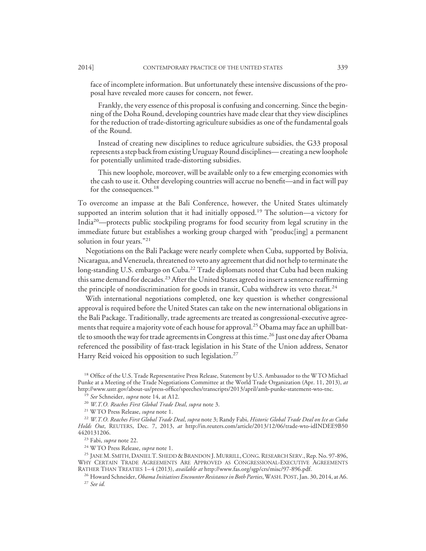face of incomplete information. But unfortunately these intensive discussions of the proposal have revealed more causes for concern, not fewer.

Frankly, the very essence of this proposal is confusing and concerning. Since the beginning of the Doha Round, developing countries have made clear that they view disciplines for the reduction of trade-distorting agriculture subsidies as one of the fundamental goals of the Round.

Instead of creating new disciplines to reduce agriculture subsidies, the G33 proposal represents a step back from existing Uruguay Round disciplines— creating a new loophole for potentially unlimited trade-distorting subsidies.

This new loophole, moreover, will be available only to a few emerging economies with the cash to use it. Other developing countries will accrue no benefit—and in fact will pay for the consequences.<sup>18</sup>

To overcome an impasse at the Bali Conference, however, the United States ultimately supported an interim solution that it had initially opposed.<sup>19</sup> The solution—a victory for India20—protects public stockpiling programs for food security from legal scrutiny in the immediate future but establishes a working group charged with "produc[ing] a permanent solution in four years."<sup>21</sup>

Negotiations on the Bali Package were nearly complete when Cuba, supported by Bolivia, Nicaragua, and Venezuela, threatened to veto any agreement that did not help to terminate the long-standing U.S. embargo on Cuba.<sup>22</sup> Trade diplomats noted that Cuba had been making this same demand for decades.<sup>23</sup> After the United States agreed to insert a sentence reaffirming the principle of nondiscrimination for goods in transit, Cuba withdrew its veto threat.<sup>24</sup>

With international negotiations completed, one key question is whether congressional approval is required before the United States can take on the new international obligations in the Bali Package. Traditionally, trade agreements are treated as congressional-executive agreements that require a majority vote of each house for approval.<sup>25</sup> Obama may face an uphill battle to smooth the way for trade agreements in Congress at this time.<sup>26</sup> Just one day after Obama referenced the possibility of fast-track legislation in his State of the Union address, Senator Harry Reid voiced his opposition to such legislation.<sup>27</sup>

<sup>18</sup> Office of the U.S. Trade Representative Press Release, Statement by U.S. Ambassador to the WTO Michael Punke at a Meeting of the Trade Negotiations Committee at the World Trade Organization (Apr. 11, 2013), *at* http://www.ustr.gov/about-us/press-office/speeches/transcripts/2013/april/amb-punke-statement-wto-tnc.

<sup>19</sup> *See* Schneider, *supra* note 14, at A12.

<sup>20</sup> *W.T.O. Reaches First Global Trade Deal*, *supra* note 3.

<sup>21</sup> W TO Press Release, *supra* note 1.

<sup>22</sup> *W.T.O. Reaches First Global Trade Deal*, *supra* note 3; Randy Fabi, *Historic Global Trade Deal on Ice as Cuba Holds Out*, REUTERS, Dec. 7, 2013, *at* http://in.reuters.com/article/2013/12/06/trade-wto-idINDEE9B50 4420131206.

<sup>23</sup> Fabi, *supra* note 22.

<sup>24</sup> W TO Press Release, *supra* note 1.

<sup>25</sup> JANEM. SMITH, DANIELT. SHEDD& BRANDON J.MURRILL,CONG. RESEARCH SERV., Rep. No. 97-896, WHY CERTAIN TRADE AGREEMENTS ARE APPROVED AS CONGRESSIONAL-EXECUTIVE AGREEMENTS RATHER THAN TREATIES 1– 4 (2013), *available at* http://www.fas.org/sgp/crs/misc/97-896.pdf.

<sup>26</sup> Howard Schneider, *Obama Initiatives Encounter Resistance in Both Parties*, WASH. POST, Jan. 30, 2014, at A6. <sup>27</sup> *See id.*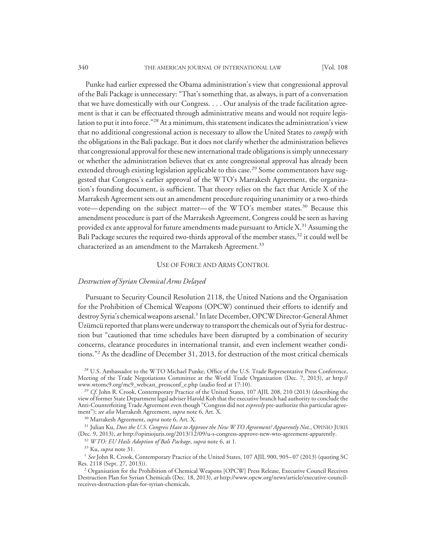Punke had earlier expressed the Obama administration's view that congressional approval of the Bali Package is unnecessary: "That's something that, as always, is part of a conversation that we have domestically with our Congress. . . . Our analysis of the trade facilitation agreement is that it can be effectuated through administrative means and would not require legislation to put it into force."<sup>28</sup> At a minimum, this statement indicates the administration's view that no additional congressional action is necessary to allow the United States to *comply* with the obligations in the Bali package. But it does not clarify whether the administration believes that congressional approval for these new international trade obligations is simply unnecessary or whether the administration believes that ex ante congressional approval has already been extended through existing legislation applicable to this case.<sup>29</sup> Some commentators have suggested that Congress's earlier approval of the W TO's Marrakesh Agreement, the organization's founding document, is sufficient. That theory relies on the fact that Article X of the Marrakesh Agreement sets out an amendment procedure requiring unanimity or a two-thirds vote—depending on the subject matter—of the WTO's member states.<sup>30</sup> Because this amendment procedure is part of the Marrakesh Agreement, Congress could be seen as having provided ex ante approval for future amendments made pursuant to Article X.<sup>31</sup> Assuming the Bali Package secures the required two-thirds approval of the member states,<sup>32</sup> it could well be characterized as an amendment to the Marrakesh Agreement.<sup>33</sup>

#### USE OF FORCE AND ARMS CONTROL

#### *Destruction of Syrian Chemical Arms Delayed*

Pursuant to Security Council Resolution 2118, the United Nations and the Organisation for the Prohibition of Chemical Weapons (OPCW) continued their efforts to identify and destroy Syria's chemical weapons arsenal.<sup>1</sup> In late December, OPCW Director-General Ahmet Uzümcü reported that plans were underway to transport the chemicals out of Syria for destruction but "cautioned that time schedules have been disrupted by a combination of security concerns, clearance procedures in international transit, and even inclement weather conditions."<sup>2</sup> As the deadline of December 31, 2013, for destruction of the most critical chemicals

<sup>&</sup>lt;sup>28</sup> U.S. Ambassador to the WTO Michael Punke, Office of the U.S. Trade Representative Press Conference, Meeting of the Trade Negotiations Committee at the World Trade Organization (Dec. 7, 2013), *at* http:// www.wtomc9.org/mc9\_webcast\_pressconf\_e.php (audio feed at 17:10).

<sup>29</sup> *Cf*. John R. Crook, Contemporary Practice of the United States, 107 AJIL 208, 210 (2013) (describing the view of former State Department legal adviser Harold Koh that the executive branch had authority to conclude the Anti-Counterfeiting Trade Agreement even though "Congress did not *expressly* pre-authorize this particular agreement"); *see also* Marrakesh Agreement, *supra* note 6, Art. X.

<sup>30</sup> Marrakesh Agreement, *supra* note 6, Art. X.

<sup>31</sup> Julian Ku, *Does the U.S. Congress Have to Approve the New W TO Agreement? Apparently Not.*, OPINIO JURIS (Dec. 9, 2013), *at* http://opiniojuris.org/2013/12/09/u-s-congress-approve-new-wto-agreement-apparently.

<sup>32</sup> *W TO: EU Hails Adoption of Bali Package*, *supra* note 6, at 1.

<sup>33</sup> Ku, *supra* note 31.

<sup>&</sup>lt;sup>1</sup> See John R. Crook, Contemporary Practice of the United States, 107 AJIL 900, 905–07 (2013) (quoting SC Res. 2118 (Sept. 27, 2013)).

<sup>2</sup> Organisation for the Prohibition of Chemical Weapons [OPCW] Press Release, Executive Council Receives Destruction Plan for Syrian Chemicals (Dec. 18, 2013), *at* http://www.opcw.org/news/article/executive-councilreceives-destruction-plan-for-syrian-chemicals.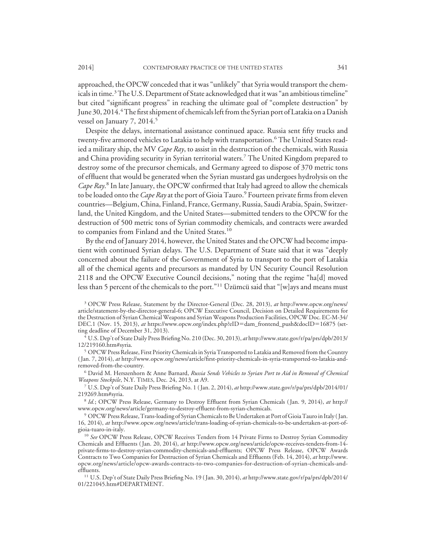approached, the OPCW conceded that it was "unlikely" that Syria would transport the chemicals in time.<sup>3</sup> The U.S. Department of State acknowledged that it was "an ambitious timeline" but cited "significant progress" in reaching the ultimate goal of "complete destruction" by June 30, 2014.<sup>4</sup> The first shipment of chemicals left from the Syrian port of Latakia on a Danish vessel on January 7, 2014.<sup>5</sup>

Despite the delays, international assistance continued apace. Russia sent fifty trucks and twenty-five armored vehicles to Latakia to help with transportation.<sup>6</sup> The United States readied a military ship, the MV *Cape Ray*, to assist in the destruction of the chemicals, with Russia and China providing security in Syrian territorial waters.<sup>7</sup> The United Kingdom prepared to destroy some of the precursor chemicals, and Germany agreed to dispose of 370 metric tons of effluent that would be generated when the Syrian mustard gas undergoes hydrolysis on the *Cape Ray*. <sup>8</sup> In late January, the OPCW confirmed that Italy had agreed to allow the chemicals to be loaded onto the *Cape Ray* at the port of Gioia Tauro.<sup>9</sup> Fourteen private firms from eleven countries—Belgium, China, Finland, France, Germany, Russia, Saudi Arabia, Spain, Switzerland, the United Kingdom, and the United States—submitted tenders to the OPCW for the destruction of 500 metric tons of Syrian commodity chemicals, and contracts were awarded to companies from Finland and the United States.<sup>10</sup>

By the end of January 2014, however, the United States and the OPCW had become impatient with continued Syrian delays. The U.S. Department of State said that it was "deeply concerned about the failure of the Government of Syria to transport to the port of Latakia all of the chemical agents and precursors as mandated by UN Security Council Resolution 2118 and the OPCW Executive Council decisions," noting that the regime "ha[d] moved less than 5 percent of the chemicals to the port."<sup>11</sup> Üzümcü said that "[w]ays and means must

<sup>6</sup> David M. Herszenhorn & Anne Barnard, *Russia Sends Vehicles to Syrian Port to Aid in Removal of Chemical Weapons Stockpile*, N.Y. TIMES, Dec. 24, 2013, at A9.

<sup>7</sup> U.S. Dep't of State Daily Press Briefing No. 1 ( Jan. 2, 2014), *at* http://www.state.gov/r/pa/prs/dpb/2014/01/ 219269.htm#syria.

<sup>8</sup> *Id.*; OPCW Press Release, Germany to Destroy Effluent from Syrian Chemicals ( Jan. 9, 2014), *at* http:// www.opcw.org/news/article/germany-to-destroy-effluent-from-syrian-chemicals.

<sup>9</sup> OPCW Press Release, Trans-loading of Syrian Chemicals to Be Undertaken at Port of Gioia Tauro in Italy (Jan. 16, 2014), *at* http://www.opcw.org/news/article/trans-loading-of-syrian-chemicals-to-be-undertaken-at-port-ofgioia-tuaro-in-italy.

<sup>11</sup> U.S. Dep't of State Daily Press Briefing No. 19 ( Jan. 30, 2014), *at* http://www.state.gov/r/pa/prs/dpb/2014/ 01/221045.htm#DEPARTMENT.

<sup>3</sup> OPCW Press Release, Statement by the Director-General (Dec. 28, 2013), *at* http://www.opcw.org/news/ article/statement-by-the-director-general-6; OPCW Executive Council, Decision on Detailed Requirements for the Destruction of Syrian Chemical Weapons and Syrian Weapons Production Facilities, OPCW Doc. EC-M-34/ DEC.1 (Nov. 15, 2013), at https://www.opcw.org/index.php?eID=dam\_frontend\_push&docID=16875 (setting deadline of December 31, 2013).

<sup>4</sup> U.S. Dep't of State Daily Press Briefing No. 210 (Dec. 30, 2013), *at* http://www.state.gov/r/pa/prs/dpb/2013/ 12/219160.htm#syria.

<sup>5</sup> OPCW Press Release, First Priority Chemicals in Syria Transported to Latakia and Removed from the Country ( Jan. 7, 2014), *at* http://www.opcw.org/news/article/first-priority-chemicals-in-syria-transported-to-latakia-andremoved-from-the-country*.*

<sup>&</sup>lt;sup>10</sup> See OPCW Press Release, OPCW Receives Tenders from 14 Private Firms to Destroy Syrian Commodity Chemicals and Effluents ( Jan. 20, 2014), *at* http://www.opcw.org/news/article/opcw-receives-tenders-from-14 private-firms-to-destroy-syrian-commodity-chemicals-and-effluents; OPCW Press Release, OPCW Awards Contracts to Two Companies for Destruction of Syrian Chemicals and Effluents (Feb. 14, 2014), *at* http://www. opcw.org/news/article/opcw-awards-contracts-to-two-companies-for-destruction-of-syrian-chemicals-andeffluents.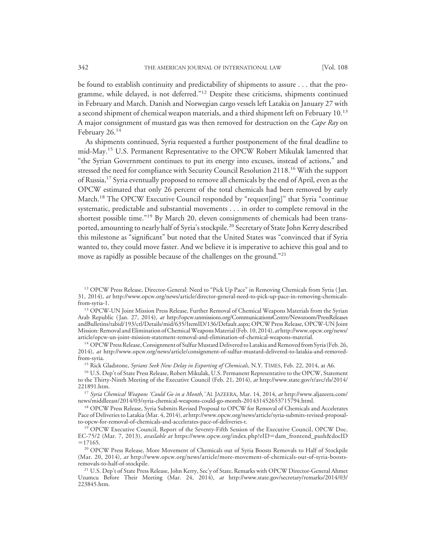be found to establish continuity and predictability of shipments to assure . . . that the programme, while delayed, is not deferred."<sup>12</sup> Despite these criticisms, shipments continued in February and March. Danish and Norwegian cargo vessels left Latakia on January 27 with a second shipment of chemical weapon materials, and a third shipment left on February 10.<sup>13</sup> A major consignment of mustard gas was then removed for destruction on the *Cape Ray* on February 26.<sup>14</sup>

As shipments continued, Syria requested a further postponement of the final deadline to mid-May.<sup>15</sup> U.S. Permanent Representative to the OPCW Robert Mikulak lamented that "the Syrian Government continues to put its energy into excuses, instead of actions," and stressed the need for compliance with Security Council Resolution 2118.<sup>16</sup> With the support of Russia,<sup>17</sup> Syria eventually proposed to remove all chemicals by the end of April, even as the OPCW estimated that only 26 percent of the total chemicals had been removed by early March.<sup>18</sup> The OPCW Executive Council responded by "request[ing]" that Syria "continue systematic, predictable and substantial movements . . . in order to complete removal in the shortest possible time."<sup>19</sup> By March 20, eleven consignments of chemicals had been transported, amounting to nearly half of Syria's stockpile.<sup>20</sup> Secretary of State John Kerry described this milestone as "significant" but noted that the United States was "convinced that if Syria wanted to, they could move faster. And we believe it is imperative to achieve this goal and to move as rapidly as possible because of the challenges on the ground."21

<sup>14</sup> OPCW Press Release, Consignment of Sulfur Mustard Delivered to Latakia and Removed from Syria (Feb. 26, 2014), *at* http://www.opcw.org/news/article/consignment-of-sulfur-mustard-delivered-to-latakia-and-removedfrom-syria.

<sup>15</sup> Rick Gladstone, Syrians Seek New Delay in Exporting of Chemicals, N.Y. TIMES, Feb. 22, 2014, at A6.

<sup>16</sup> U.S. Dep't of State Press Release, Robert Mikulak, U.S. Permanent Representative to the OPCW, Statement to the Thirty-Ninth Meeting of the Executive Council (Feb. 21, 2014), *at* http://www.state.gov/t/avc/rls/2014/ 221891.htm.

<sup>&</sup>lt;sup>12</sup> OPCW Press Release, Director-General: Need to "Pick Up Pace" in Removing Chemicals from Syria (Jan. 31, 2014), *at* http://www.opcw.org/news/article/director-general-need-to-pick-up-pace-in-removing-chemicalsfrom-syria-1.

<sup>&</sup>lt;sup>13</sup> OPCW-UN Joint Mission Press Release, Further Removal of Chemical Weapons Materials from the Syrian Arab Republic ( Jan. 27, 2014), *at* http://opcw.unmissions.org/CommunicationsCentre/Newsroom/PressReleases andBulletins/tabid/193/ctl/Details/mid/635/ItemID/136/Default.aspx; OPCW Press Release, OPCW-UN Joint Mission: Removal and Elimination ofChemicalWeaponsMaterial (Feb. 10, 2014), *at* http://www.opcw.org/news/ article/opcw-un-joint-mission-statement-removal-and-elimination-of-chemical-weapons-material.

<sup>17</sup> *Syria Chemical Weapons 'Could Go in a Month*,*'* AL JAZEERA, Mar. 14, 2014, *at* http://www.aljazeera.com/ news/middleeast/2014/03/syria-chemical-weapons-could-go-month-201431452653715794.html.

<sup>&</sup>lt;sup>18</sup> OPCW Press Release, Syria Submits Revised Proposal to OPCW for Removal of Chemicals and Accelerates Pace of Deliveries to Latakia (Mar. 4, 2014), *at* http://www.opcw.org/news/article/syria-submits-revised-proposalto-opcw-for-removal-of-chemicals-and-accelerates-pace-of-deliveries-t.

<sup>&</sup>lt;sup>19</sup> OPCW Executive Council, Report of the Seventy-Fifth Session of the Executive Council, OPCW Doc. EC-75/2 (Mar. 7, 2013), *available at* https://www.opcw.org/index.php?eID-dam\_frontend\_push&docID  $= 17165.$ 

<sup>&</sup>lt;sup>20</sup> OPCW Press Release, More Movement of Chemicals out of Syria Boosts Removals to Half of Stockpile (Mar. 20, 2014), *at* http://www.opcw.org/news/article/more-movement-of-chemicals-out-of-syria-boostsremovals-to-half-of-stockpile.

<sup>&</sup>lt;sup>21</sup> U.S. Dep't of State Press Release, John Kerry, Sec'y of State, Remarks with OPCW Director-General Ahmet Uzumcu Before Their Meeting (Mar. 24, 2014), *at* http://www.state.gov/secretary/remarks/2014/03/ 223845.htm.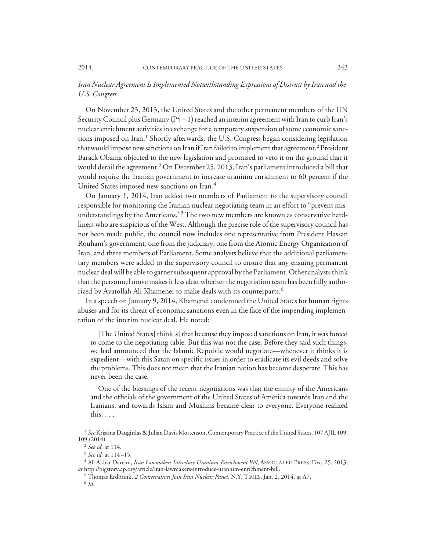#### *Iran Nuclear Agreement Is Implemented Notwithstanding Expressions of Distrust by Iran and the U.S. Congress*

On November 23, 2013, the United States and the other permanent members of the UN Security Council plus Germany  $(P5+1)$  reached an interim agreement with Iran to curb Iran's nuclear enrichment activities in exchange for a temporary suspension of some economic sanctions imposed on Iran.<sup>1</sup> Shortly afterwards, the U.S. Congress began considering legislation that would impose new sanctions on Iran if Iran failed to implement that agreement.<sup>2</sup> President Barack Obama objected to the new legislation and promised to veto it on the ground that it would derail the agreement.<sup>3</sup> On December 25, 2013, Iran's parliament introduced a bill that would require the Iranian government to increase uranium enrichment to 60 percent if the United States imposed new sanctions on Iran.<sup>4</sup>

On January 1, 2014, Iran added two members of Parliament to the supervisory council responsible for monitoring the Iranian nuclear negotiating team in an effort to "prevent misunderstandings by the Americans."5 The two new members are known as conservative hardliners who are suspicious of the West. Although the precise role of the supervisory council has not been made public, the council now includes one representative from President Hassan Rouhani's government, one from the judiciary, one from the Atomic Energy Organization of Iran, and three members of Parliament. Some analysts believe that the additional parliamentary members were added to the supervisory council to ensure that any ensuing permanent nuclear deal will be able to garner subsequent approval by the Parliament. Other analysts think that the personnel move makes it less clear whether the negotiation team has been fully authorized by Ayatollah Ali Khamenei to make deals with its counterparts.<sup>6</sup>

In a speech on January 9, 2014, Khamenei condemned the United States for human rights abuses and for its threat of economic sanctions even in the face of the impending implementation of the interim nuclear deal. He noted:

[The United States] think[s] that because they imposed sanctions on Iran, it was forced to come to the negotiating table. But this was not the case. Before they said such things, we had announced that the Islamic Republic would negotiate—whenever it thinks it is expedient—with this Satan on specific issues in order to eradicate its evil deeds and solve the problems. This does not mean that the Iranian nation has become desperate. This has never been the case.

One of the blessings of the recent negotiations was that the enmity of the Americans and the officials of the government of the United States of America towards Iran and the Iranians, and towards Islam and Muslims became clear to everyone. Everyone realized this....

<sup>2</sup> *See id.* at 114.

<sup>1</sup> *See*Kristina Daugirdas & Julian Davis Mortenson, Contemporary Practice of the United States, 107 AJIL 109, 109 (2014).

<sup>&</sup>lt;sup>3</sup> See id. at 114-15.

<sup>4</sup> Ali Akbar Dareini, *Iran Lawmakers Introduce Uranium-Enrichment Bill*, ASSOCIATED PRESS, Dec. 25, 2013, *at* http://bigstory.ap.org/article/iran-lawmakers-introduce-uranium-enrichment-bill.

<sup>5</sup> Thomas Erdbrink, *2 Conservatives Join Iran Nuclear Panel*, N.Y. TIMES, Jan. 2, 2014, at A7.

 $6$   $Id.$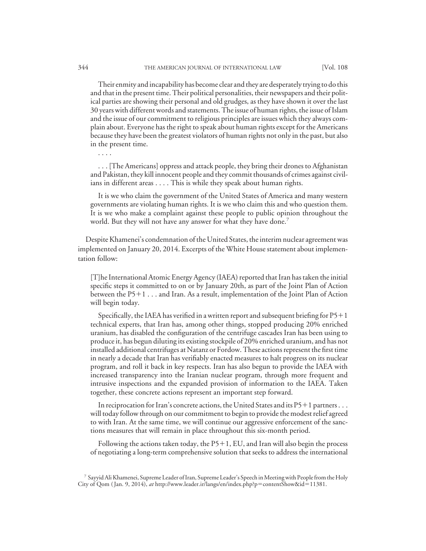Their enmity and incapability has become clear and they are desperately trying to do this and that in the present time. Their political personalities, their newspapers and their political parties are showing their personal and old grudges, as they have shown it over the last 30 years with different words and statements. The issue of human rights, the issue of Islam and the issue of our commitment to religious principles are issues which they always complain about. Everyone has the right to speak about human rights except for the Americans because they have been the greatest violators of human rights not only in the past, but also in the present time.

....

. . . [The Americans] oppress and attack people, they bring their drones to Afghanistan and Pakistan, they kill innocent people and they commit thousands of crimes against civilians in different areas.... This is while they speak about human rights.

It is we who claim the government of the United States of America and many western governments are violating human rights. It is we who claim this and who question them. It is we who make a complaint against these people to public opinion throughout the world. But they will not have any answer for what they have done.<sup>7</sup>

Despite Khamenei's condemnation of the United States, the interim nuclear agreement was implemented on January 20, 2014. Excerpts of the White House statement about implementation follow:

[T]he International Atomic Energy Agency (IAEA) reported that Iran has taken the initial specific steps it committed to on or by January 20th, as part of the Joint Plan of Action between the  $P5+1$ ... and Iran. As a result, implementation of the Joint Plan of Action will begin today.

Specifically, the IAEA has verified in a written report and subsequent briefing for  $P5+1$ technical experts, that Iran has, among other things, stopped producing 20% enriched uranium, has disabled the configuration of the centrifuge cascades Iran has been using to produce it, has begun diluting its existing stockpile of 20% enriched uranium, and has not installed additional centrifuges at Natanz or Fordow. These actions represent the first time in nearly a decade that Iran has verifiably enacted measures to halt progress on its nuclear program, and roll it back in key respects. Iran has also begun to provide the IAEA with increased transparency into the Iranian nuclear program, through more frequent and intrusive inspections and the expanded provision of information to the IAEA. Taken together, these concrete actions represent an important step forward.

In reciprocation for Iran's concrete actions, the United States and its  $P5+1$  partners . . . will today follow through on our commitment to begin to provide the modest relief agreed to with Iran. At the same time, we will continue our aggressive enforcement of the sanctions measures that will remain in place throughout this six-month period.

Following the actions taken today, the  $P5+1$ , EU, and Iran will also begin the process of negotiating a long-term comprehensive solution that seeks to address the international

 $^7$  Sayyid Ali Khamenei, Supreme Leader of Iran, Supreme Leader's Speech in Meeting with People from the Holy City of Qom (Jan. 9, 2014), *at* http://www.leader.ir/langs/en/index.php?p=contentShow&id=11381.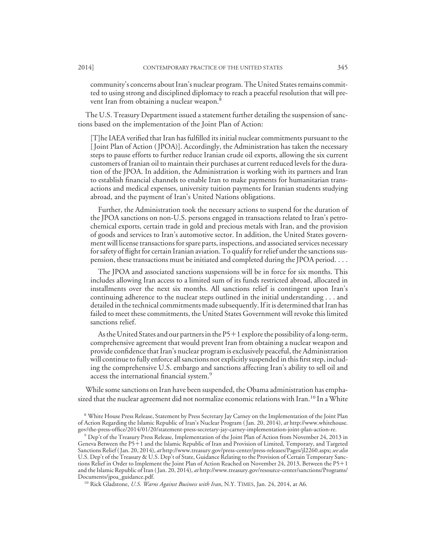community's concerns about Iran's nuclear program. The United States remains committed to using strong and disciplined diplomacy to reach a peaceful resolution that will prevent Iran from obtaining a nuclear weapon.<sup>8</sup>

The U.S. Treasury Department issued a statement further detailing the suspension of sanctions based on the implementation of the Joint Plan of Action:

[T]he IAEA verified that Iran has fulfilled its initial nuclear commitments pursuant to the [ Joint Plan of Action ( JPOA)]. Accordingly, the Administration has taken the necessary steps to pause efforts to further reduce Iranian crude oil exports, allowing the six current customers of Iranian oil to maintain their purchases at current reduced levels for the duration of the JPOA. In addition, the Administration is working with its partners and Iran to establish financial channels to enable Iran to make payments for humanitarian transactions and medical expenses, university tuition payments for Iranian students studying abroad, and the payment of Iran's United Nations obligations.

Further, the Administration took the necessary actions to suspend for the duration of the JPOA sanctions on non-U.S. persons engaged in transactions related to Iran's petrochemical exports, certain trade in gold and precious metals with Iran, and the provision of goods and services to Iran's automotive sector. In addition, the United States government will license transactions for spare parts, inspections, and associated services necessary for safety of flight for certain Iranian aviation. To qualify for relief under the sanctions suspension, these transactions must be initiated and completed during the JPOA period....

The JPOA and associated sanctions suspensions will be in force for six months. This includes allowing Iran access to a limited sum of its funds restricted abroad, allocated in installments over the next six months. All sanctions relief is contingent upon Iran's continuing adherence to the nuclear steps outlined in the initial understanding . . . and detailed in the technical commitments made subsequently. If it is determined that Iran has failed to meet these commitments, the United States Government will revoke this limited sanctions relief.

As the United States and our partners in the  $P5+1$  explore the possibility of a long-term, comprehensive agreement that would prevent Iran from obtaining a nuclear weapon and provide confidence that Iran's nuclear program is exclusively peaceful, the Administration will continue to fully enforce all sanctions not explicitly suspended in this first step, including the comprehensive U.S. embargo and sanctions affecting Iran's ability to sell oil and access the international financial system.<sup>9</sup>

While some sanctions on Iran have been suspended, the Obama administration has emphasized that the nuclear agreement did not normalize economic relations with Iran.<sup>10</sup> In a White

<sup>&</sup>lt;sup>8</sup> White House Press Release, Statement by Press Secretary Jay Carney on the Implementation of the Joint Plan of Action Regarding the Islamic Republic of Iran's Nuclear Program ( Jan. 20, 2014), *at* http://www.whitehouse. gov/the-press-office/2014/01/20/statement-press-secretary-jay-carney-implementation-joint-plan-action-re.

<sup>9</sup> Dep't of the Treasury Press Release, Implementation of the Joint Plan of Action from November 24, 2013 in Geneva Between the P5+1 and the Islamic Republic of Iran and Provision of Limited, Temporary, and Targeted Sanctions Relief ( Jan. 20, 2014), *at* http://www.treasury.gov/press-center/press-releases/Pages/jl2260.aspx; *see also* U.S. Dep't of the Treasury & U.S. Dep't of State, Guidance Relating to the Provision of Certain Temporary Sanctions Relief in Order to Implement the Joint Plan of Action Reached on November 24, 2013, Between the P5+1 and the Islamic Republic of Iran ( Jan. 20, 2014), *at* http://www.treasury.gov/resource-center/sanctions/Programs/ Documents/jpoa\_guidance.pdf.

<sup>10</sup> Rick Gladstone, *U.S. Warns Against Business with Iran*, N.Y. TIMES, Jan. 24, 2014, at A6.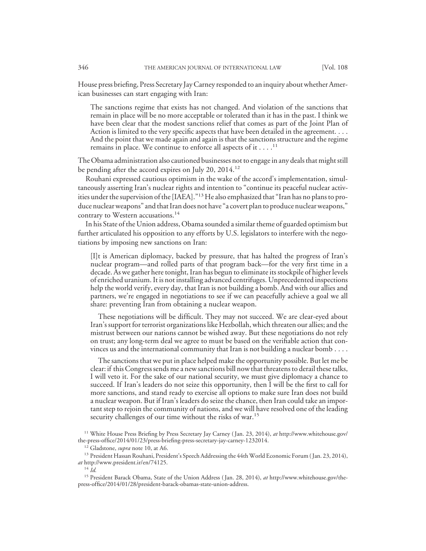House press briefing, Press Secretary Jay Carney responded to an inquiry about whether American businesses can start engaging with Iran:

The sanctions regime that exists has not changed. And violation of the sanctions that remain in place will be no more acceptable or tolerated than it has in the past. I think we have been clear that the modest sanctions relief that comes as part of the Joint Plan of Action is limited to the very specific aspects that have been detailed in the agreement.... And the point that we made again and again is that the sanctions structure and the regime remains in place. We continue to enforce all aspects of it....<sup>11</sup>

The Obama administration also cautioned businesses not to engage in any deals that might still be pending after the accord expires on July 20, 2014.<sup>12</sup>

Rouhani expressed cautious optimism in the wake of the accord's implementation, simultaneously asserting Iran's nuclear rights and intention to "continue its peaceful nuclear activities under the supervision of the [IAEA]."<sup>13</sup> He also emphasized that "Iran has no plans to produce nuclear weapons" and that Iran does not have "a covert plan to produce nuclear weapons," contrary to Western accusations.<sup>14</sup>

In his State of the Union address, Obama sounded a similar theme of guarded optimism but further articulated his opposition to any efforts by U.S. legislators to interfere with the negotiations by imposing new sanctions on Iran:

[I]t is American diplomacy, backed by pressure, that has halted the progress of Iran's nuclear program—and rolled parts of that program back—for the very first time in a decade. As we gather here tonight, Iran has begun to eliminate its stockpile of higher levels of enriched uranium. It is not installing advanced centrifuges. Unprecedented inspections help the world verify, every day, that Iran is not building a bomb. And with our allies and partners, we're engaged in negotiations to see if we can peacefully achieve a goal we all share: preventing Iran from obtaining a nuclear weapon.

These negotiations will be difficult. They may not succeed. We are clear-eyed about Iran's support for terrorist organizations like Hezbollah, which threaten our allies; and the mistrust between our nations cannot be wished away. But these negotiations do not rely on trust; any long-term deal we agree to must be based on the verifiable action that convinces us and the international community that Iran is not building a nuclear bomb....

The sanctions that we put in place helped make the opportunity possible. But let me be clear: if this Congress sends me a new sanctions bill now that threatens to derail these talks, I will veto it. For the sake of our national security, we must give diplomacy a chance to succeed. If Iran's leaders do not seize this opportunity, then I will be the first to call for more sanctions, and stand ready to exercise all options to make sure Iran does not build a nuclear weapon. But if Iran's leaders do seize the chance, then Iran could take an important step to rejoin the community of nations, and we will have resolved one of the leading security challenges of our time without the risks of war.<sup>15</sup>

<sup>15</sup> President Barack Obama, State of the Union Address ( Jan. 28, 2014), *at* http://www.whitehouse.gov/thepress-office/2014/01/28/president-barack-obamas-state-union-address.

<sup>11</sup> White House Press Briefing by Press Secretary Jay Carney ( Jan. 23, 2014), *at* http://www.whitehouse.gov/ the-press-office/2014/01/23/press-briefing-press-secretary-jay-carney-1232014.

<sup>12</sup> Gladstone, *supra* note 10, at A6.

<sup>&</sup>lt;sup>13</sup> President Hassan Rouhani, President's Speech Addressing the 44th World Economic Forum (Jan. 23, 2014), *at* http://www.president.ir/en/74125.

<sup>14</sup> *Id.*